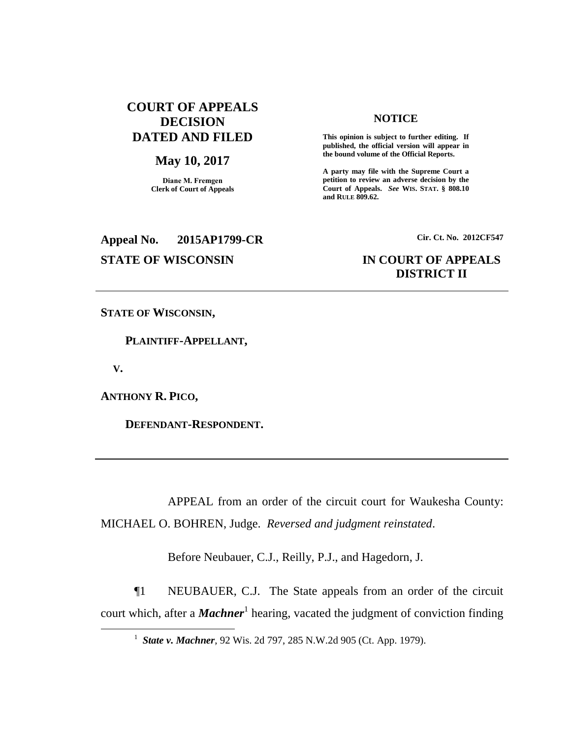# **COURT OF APPEALS DECISION DATED AND FILED**

#### **May 10, 2017**

**Diane M. Fremgen Clerk of Court of Appeals**

#### **NOTICE**

**This opinion is subject to further editing. If published, the official version will appear in the bound volume of the Official Reports.** 

**A party may file with the Supreme Court a petition to review an adverse decision by the Court of Appeals.** *See* **WIS. STAT. § 808.10 and RULE 809.62.** 

# **Appeal No. 2015AP1799-CR Cir. Ct. No. 2012CF547**

# **STATE OF WISCONSIN IN COURT OF APPEALS DISTRICT II**

**STATE OF WISCONSIN,**

 **PLAINTIFF-APPELLANT,**

 **V.**

 $\overline{a}$ 

**ANTHONY R. PICO,**

 **DEFENDANT-RESPONDENT.**

APPEAL from an order of the circuit court for Waukesha County: MICHAEL O. BOHREN, Judge. *Reversed and judgment reinstated*.

Before Neubauer, C.J., Reilly, P.J., and Hagedorn, J.

¶1 NEUBAUER, C.J. The State appeals from an order of the circuit court which, after a *Machner*<sup>1</sup> hearing, vacated the judgment of conviction finding

<sup>1</sup> *State v. Machner*, 92 Wis. 2d 797, 285 N.W.2d 905 (Ct. App. 1979).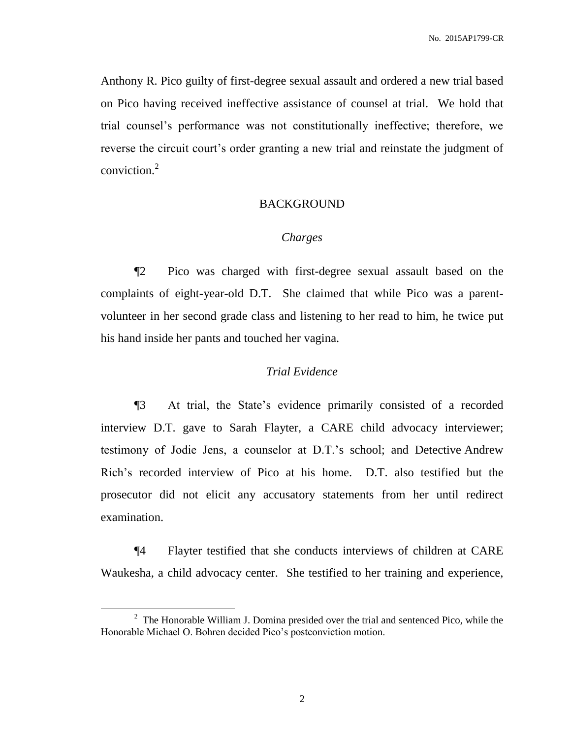Anthony R. Pico guilty of first-degree sexual assault and ordered a new trial based on Pico having received ineffective assistance of counsel at trial. We hold that trial counsel's performance was not constitutionally ineffective; therefore, we reverse the circuit court's order granting a new trial and reinstate the judgment of conviction. 2

#### BACKGROUND

#### *Charges*

¶2 Pico was charged with first-degree sexual assault based on the complaints of eight-year-old D.T. She claimed that while Pico was a parentvolunteer in her second grade class and listening to her read to him, he twice put his hand inside her pants and touched her vagina.

### *Trial Evidence*

¶3 At trial, the State's evidence primarily consisted of a recorded interview D.T. gave to Sarah Flayter, a CARE child advocacy interviewer; testimony of Jodie Jens, a counselor at D.T.'s school; and Detective Andrew Rich's recorded interview of Pico at his home. D.T. also testified but the prosecutor did not elicit any accusatory statements from her until redirect examination.

¶4 Flayter testified that she conducts interviews of children at CARE Waukesha, a child advocacy center. She testified to her training and experience,

 $2^2$  The Honorable William J. Domina presided over the trial and sentenced Pico, while the Honorable Michael O. Bohren decided Pico's postconviction motion.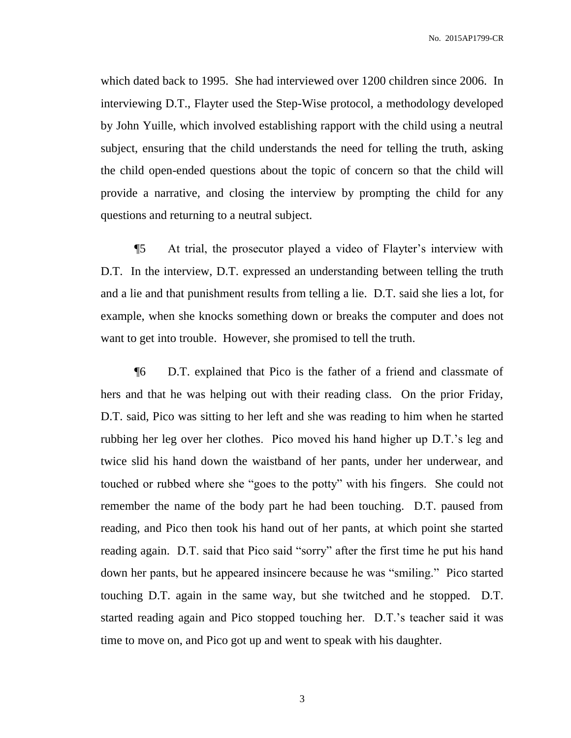which dated back to 1995. She had interviewed over 1200 children since 2006. In interviewing D.T., Flayter used the Step-Wise protocol, a methodology developed by John Yuille, which involved establishing rapport with the child using a neutral subject, ensuring that the child understands the need for telling the truth, asking the child open-ended questions about the topic of concern so that the child will provide a narrative, and closing the interview by prompting the child for any questions and returning to a neutral subject.

¶5 At trial, the prosecutor played a video of Flayter's interview with D.T. In the interview, D.T. expressed an understanding between telling the truth and a lie and that punishment results from telling a lie. D.T. said she lies a lot, for example, when she knocks something down or breaks the computer and does not want to get into trouble. However, she promised to tell the truth.

¶6 D.T. explained that Pico is the father of a friend and classmate of hers and that he was helping out with their reading class. On the prior Friday, D.T. said, Pico was sitting to her left and she was reading to him when he started rubbing her leg over her clothes. Pico moved his hand higher up D.T.'s leg and twice slid his hand down the waistband of her pants, under her underwear, and touched or rubbed where she "goes to the potty" with his fingers. She could not remember the name of the body part he had been touching. D.T. paused from reading, and Pico then took his hand out of her pants, at which point she started reading again. D.T. said that Pico said "sorry" after the first time he put his hand down her pants, but he appeared insincere because he was "smiling." Pico started touching D.T. again in the same way, but she twitched and he stopped. D.T. started reading again and Pico stopped touching her. D.T.'s teacher said it was time to move on, and Pico got up and went to speak with his daughter.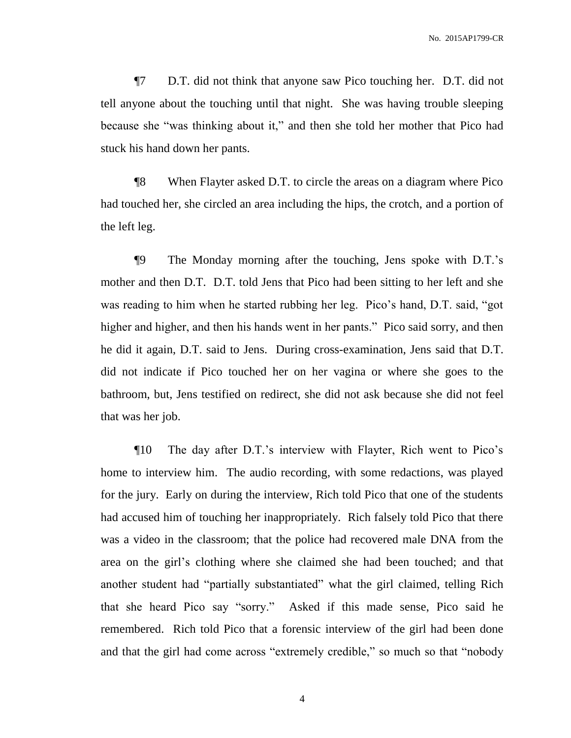¶7 D.T. did not think that anyone saw Pico touching her. D.T. did not tell anyone about the touching until that night. She was having trouble sleeping because she "was thinking about it," and then she told her mother that Pico had stuck his hand down her pants.

¶8 When Flayter asked D.T. to circle the areas on a diagram where Pico had touched her, she circled an area including the hips, the crotch, and a portion of the left leg.

¶9 The Monday morning after the touching, Jens spoke with D.T.'s mother and then D.T. D.T. told Jens that Pico had been sitting to her left and she was reading to him when he started rubbing her leg. Pico's hand, D.T. said, "got higher and higher, and then his hands went in her pants." Pico said sorry, and then he did it again, D.T. said to Jens. During cross-examination, Jens said that D.T. did not indicate if Pico touched her on her vagina or where she goes to the bathroom, but, Jens testified on redirect, she did not ask because she did not feel that was her job.

¶10 The day after D.T.'s interview with Flayter, Rich went to Pico's home to interview him. The audio recording, with some redactions, was played for the jury. Early on during the interview, Rich told Pico that one of the students had accused him of touching her inappropriately. Rich falsely told Pico that there was a video in the classroom; that the police had recovered male DNA from the area on the girl's clothing where she claimed she had been touched; and that another student had "partially substantiated" what the girl claimed, telling Rich that she heard Pico say "sorry." Asked if this made sense, Pico said he remembered. Rich told Pico that a forensic interview of the girl had been done and that the girl had come across "extremely credible," so much so that "nobody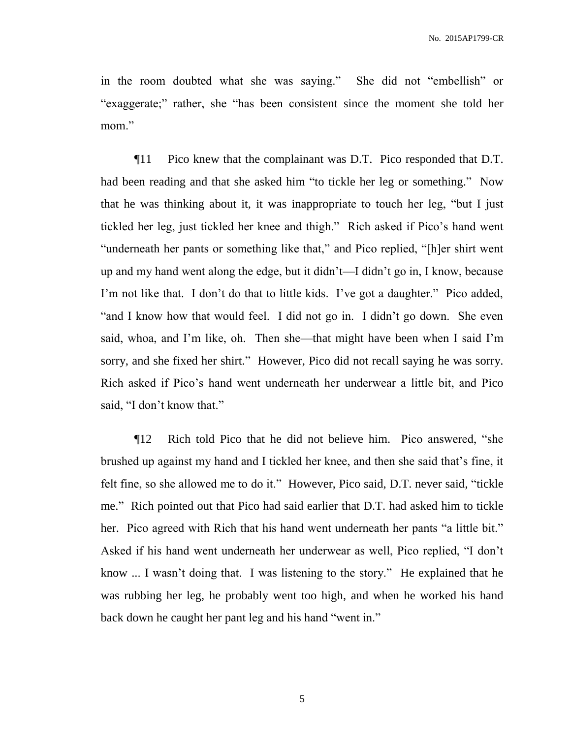in the room doubted what she was saying." She did not "embellish" or "exaggerate;" rather, she "has been consistent since the moment she told her mom."

¶11 Pico knew that the complainant was D.T. Pico responded that D.T. had been reading and that she asked him "to tickle her leg or something." Now that he was thinking about it, it was inappropriate to touch her leg, "but I just tickled her leg, just tickled her knee and thigh." Rich asked if Pico's hand went "underneath her pants or something like that," and Pico replied, "[h]er shirt went up and my hand went along the edge, but it didn't—I didn't go in, I know, because I'm not like that. I don't do that to little kids. I've got a daughter." Pico added, "and I know how that would feel. I did not go in. I didn't go down. She even said, whoa, and I'm like, oh. Then she—that might have been when I said I'm sorry, and she fixed her shirt." However, Pico did not recall saying he was sorry. Rich asked if Pico's hand went underneath her underwear a little bit, and Pico said, "I don't know that."

¶12 Rich told Pico that he did not believe him. Pico answered, "she brushed up against my hand and I tickled her knee, and then she said that's fine, it felt fine, so she allowed me to do it." However, Pico said, D.T. never said, "tickle me." Rich pointed out that Pico had said earlier that D.T. had asked him to tickle her. Pico agreed with Rich that his hand went underneath her pants "a little bit." Asked if his hand went underneath her underwear as well, Pico replied, "I don't know ... I wasn't doing that. I was listening to the story." He explained that he was rubbing her leg, he probably went too high, and when he worked his hand back down he caught her pant leg and his hand "went in."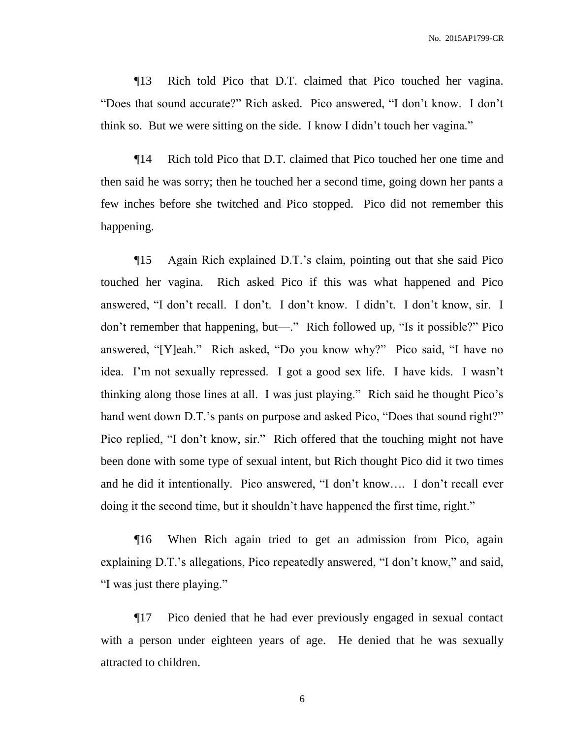¶13 Rich told Pico that D.T. claimed that Pico touched her vagina. "Does that sound accurate?" Rich asked. Pico answered, "I don't know. I don't think so. But we were sitting on the side. I know I didn't touch her vagina."

¶14 Rich told Pico that D.T. claimed that Pico touched her one time and then said he was sorry; then he touched her a second time, going down her pants a few inches before she twitched and Pico stopped. Pico did not remember this happening.

¶15 Again Rich explained D.T.'s claim, pointing out that she said Pico touched her vagina. Rich asked Pico if this was what happened and Pico answered, "I don't recall. I don't. I don't know. I didn't. I don't know, sir. I don't remember that happening, but—." Rich followed up, "Is it possible?" Pico answered, "[Y]eah." Rich asked, "Do you know why?" Pico said, "I have no idea. I'm not sexually repressed. I got a good sex life. I have kids. I wasn't thinking along those lines at all. I was just playing." Rich said he thought Pico's hand went down D.T.'s pants on purpose and asked Pico, "Does that sound right?" Pico replied, "I don't know, sir." Rich offered that the touching might not have been done with some type of sexual intent, but Rich thought Pico did it two times and he did it intentionally. Pico answered, "I don't know…. I don't recall ever doing it the second time, but it shouldn't have happened the first time, right."

¶16 When Rich again tried to get an admission from Pico, again explaining D.T.'s allegations, Pico repeatedly answered, "I don't know," and said, "I was just there playing."

¶17 Pico denied that he had ever previously engaged in sexual contact with a person under eighteen years of age. He denied that he was sexually attracted to children.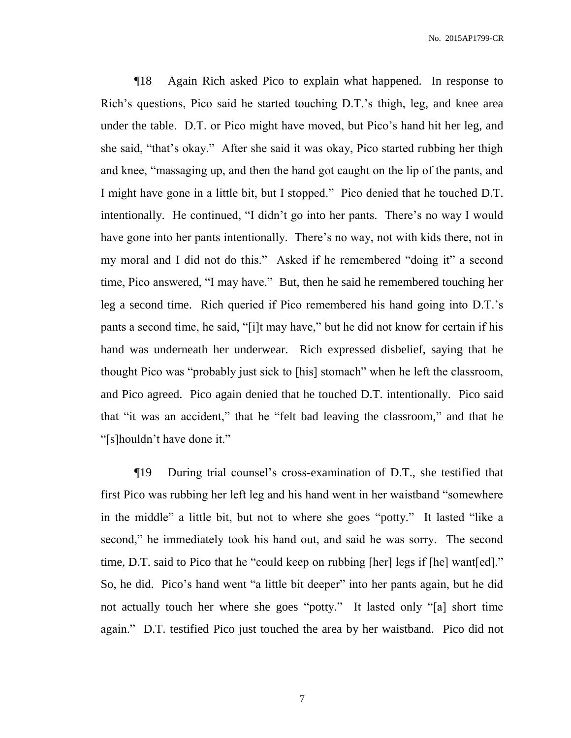¶18 Again Rich asked Pico to explain what happened. In response to Rich's questions, Pico said he started touching D.T.'s thigh, leg, and knee area under the table. D.T. or Pico might have moved, but Pico's hand hit her leg, and she said, "that's okay." After she said it was okay, Pico started rubbing her thigh and knee, "massaging up, and then the hand got caught on the lip of the pants, and I might have gone in a little bit, but I stopped." Pico denied that he touched D.T. intentionally. He continued, "I didn't go into her pants. There's no way I would have gone into her pants intentionally. There's no way, not with kids there, not in my moral and I did not do this." Asked if he remembered "doing it" a second time, Pico answered, "I may have." But, then he said he remembered touching her leg a second time. Rich queried if Pico remembered his hand going into D.T.'s pants a second time, he said, "[i]t may have," but he did not know for certain if his hand was underneath her underwear. Rich expressed disbelief, saying that he thought Pico was "probably just sick to [his] stomach" when he left the classroom, and Pico agreed. Pico again denied that he touched D.T. intentionally. Pico said that "it was an accident," that he "felt bad leaving the classroom," and that he "[s]houldn't have done it."

¶19 During trial counsel's cross-examination of D.T., she testified that first Pico was rubbing her left leg and his hand went in her waistband "somewhere in the middle" a little bit, but not to where she goes "potty." It lasted "like a second," he immediately took his hand out, and said he was sorry. The second time, D.T. said to Pico that he "could keep on rubbing [her] legs if [he] want[ed]." So, he did. Pico's hand went "a little bit deeper" into her pants again, but he did not actually touch her where she goes "potty." It lasted only "[a] short time again." D.T. testified Pico just touched the area by her waistband. Pico did not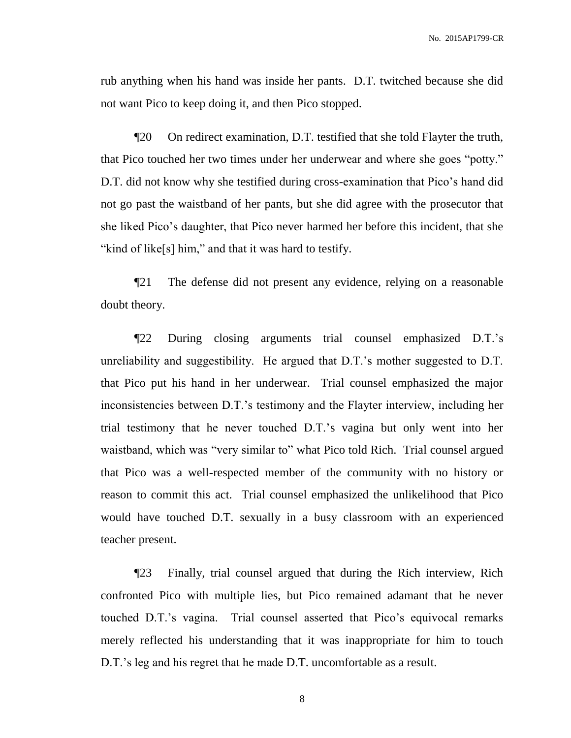rub anything when his hand was inside her pants. D.T. twitched because she did not want Pico to keep doing it, and then Pico stopped.

¶20 On redirect examination, D.T. testified that she told Flayter the truth, that Pico touched her two times under her underwear and where she goes "potty." D.T. did not know why she testified during cross-examination that Pico's hand did not go past the waistband of her pants, but she did agree with the prosecutor that she liked Pico's daughter, that Pico never harmed her before this incident, that she "kind of like[s] him," and that it was hard to testify.

¶21 The defense did not present any evidence, relying on a reasonable doubt theory.

¶22 During closing arguments trial counsel emphasized D.T.'s unreliability and suggestibility. He argued that D.T.'s mother suggested to D.T. that Pico put his hand in her underwear. Trial counsel emphasized the major inconsistencies between D.T.'s testimony and the Flayter interview, including her trial testimony that he never touched D.T.'s vagina but only went into her waistband, which was "very similar to" what Pico told Rich. Trial counsel argued that Pico was a well-respected member of the community with no history or reason to commit this act. Trial counsel emphasized the unlikelihood that Pico would have touched D.T. sexually in a busy classroom with an experienced teacher present.

¶23 Finally, trial counsel argued that during the Rich interview, Rich confronted Pico with multiple lies, but Pico remained adamant that he never touched D.T.'s vagina. Trial counsel asserted that Pico's equivocal remarks merely reflected his understanding that it was inappropriate for him to touch D.T.'s leg and his regret that he made D.T. uncomfortable as a result.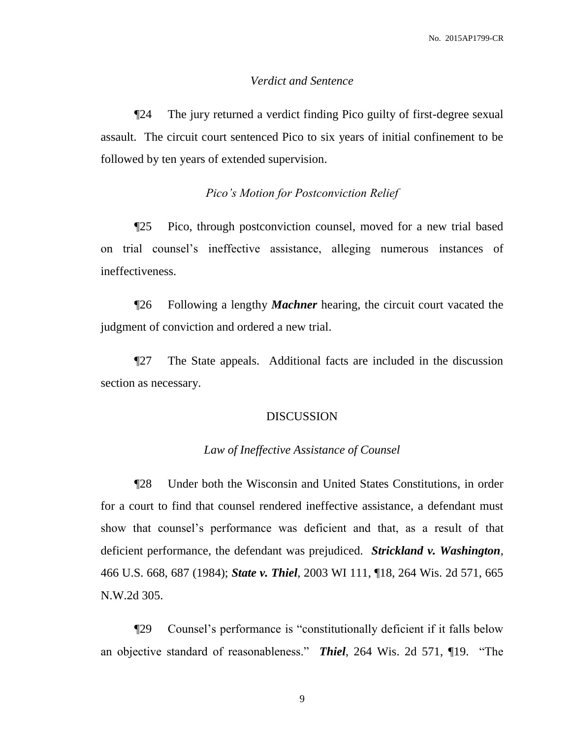#### *Verdict and Sentence*

¶24 The jury returned a verdict finding Pico guilty of first-degree sexual assault. The circuit court sentenced Pico to six years of initial confinement to be followed by ten years of extended supervision.

#### *Pico's Motion for Postconviction Relief*

¶25 Pico, through postconviction counsel, moved for a new trial based on trial counsel's ineffective assistance, alleging numerous instances of ineffectiveness.

¶26 Following a lengthy *Machner* hearing, the circuit court vacated the judgment of conviction and ordered a new trial.

¶27 The State appeals. Additional facts are included in the discussion section as necessary.

#### DISCUSSION

#### *Law of Ineffective Assistance of Counsel*

¶28 Under both the Wisconsin and United States Constitutions, in order for a court to find that counsel rendered ineffective assistance, a defendant must show that counsel's performance was deficient and that, as a result of that deficient performance, the defendant was prejudiced. *Strickland v. Washington*, 466 U.S. 668, 687 (1984); *State v. Thiel*, 2003 WI 111, ¶18, 264 Wis. 2d 571, 665 N.W.2d 305.

¶29 Counsel's performance is "constitutionally deficient if it falls below an objective standard of reasonableness." *Thiel*, 264 Wis. 2d 571, ¶19. "The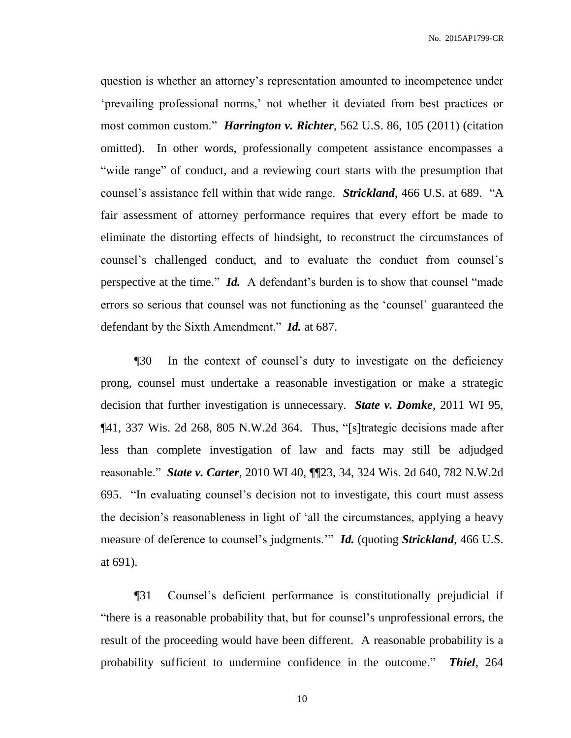question is whether an attorney's representation amounted to incompetence under 'prevailing professional norms,' not whether it deviated from best practices or most common custom." *Harrington v. Richter*, 562 U.S. 86, 105 (2011) (citation omitted). In other words, professionally competent assistance encompasses a "wide range" of conduct, and a reviewing court starts with the presumption that counsel's assistance fell within that wide range. *Strickland*, 466 U.S. at 689. "A fair assessment of attorney performance requires that every effort be made to eliminate the distorting effects of hindsight, to reconstruct the circumstances of counsel's challenged conduct, and to evaluate the conduct from counsel's perspective at the time." *Id.* A defendant's burden is to show that counsel "made errors so serious that counsel was not functioning as the 'counsel' guaranteed the defendant by the Sixth Amendment." *Id.* at 687.

¶30 In the context of counsel's duty to investigate on the deficiency prong, counsel must undertake a reasonable investigation or make a strategic decision that further investigation is unnecessary. *State v. Domke*, 2011 WI 95, ¶41, 337 Wis. 2d 268, 805 N.W.2d 364. Thus, "[s]trategic decisions made after less than complete investigation of law and facts may still be adjudged reasonable." *State v. Carter*, 2010 WI 40, ¶¶23, 34, 324 Wis. 2d 640, 782 N.W.2d 695. "In evaluating counsel's decision not to investigate, this court must assess the decision's reasonableness in light of 'all the circumstances, applying a heavy measure of deference to counsel's judgments.'" *Id.* (quoting *Strickland*, 466 U.S. at 691).

¶31 Counsel's deficient performance is constitutionally prejudicial if "there is a reasonable probability that, but for counsel's unprofessional errors, the result of the proceeding would have been different. A reasonable probability is a probability sufficient to undermine confidence in the outcome." *Thiel*, 264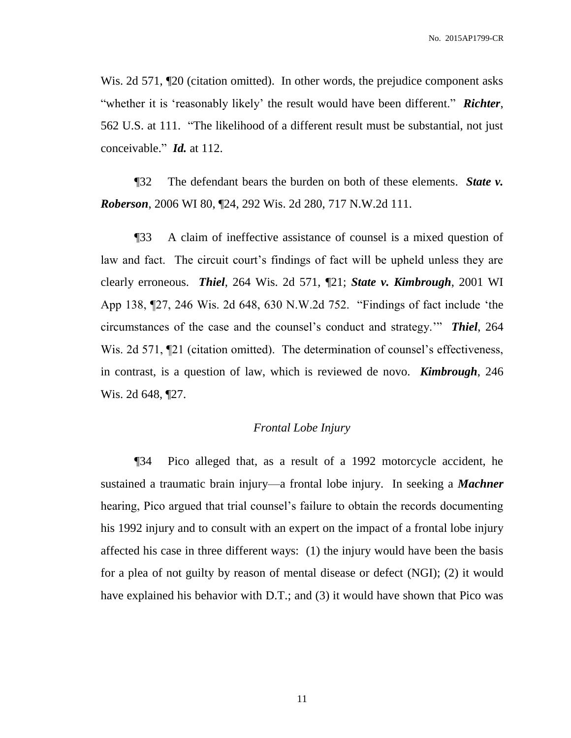Wis. 2d 571,  $\mathbb{I}20$  (citation omitted). In other words, the prejudice component asks "whether it is 'reasonably likely' the result would have been different." *Richter*, 562 U.S. at 111. "The likelihood of a different result must be substantial, not just conceivable." *Id.* at 112.

¶32 The defendant bears the burden on both of these elements. *State v. Roberson*, 2006 WI 80, ¶24, 292 Wis. 2d 280, 717 N.W.2d 111.

¶33 A claim of ineffective assistance of counsel is a mixed question of law and fact. The circuit court's findings of fact will be upheld unless they are clearly erroneous. *Thiel*, 264 Wis. 2d 571, ¶21; *State v. Kimbrough*, 2001 WI App 138, ¶27, 246 Wis. 2d 648, 630 N.W.2d 752. "Findings of fact include 'the circumstances of the case and the counsel's conduct and strategy.'" *Thiel*, 264 Wis. 2d 571,  $\P$ 21 (citation omitted). The determination of counsel's effectiveness, in contrast, is a question of law, which is reviewed de novo. *Kimbrough*, 246 Wis. 2d 648, ¶27.

#### *Frontal Lobe Injury*

¶34 Pico alleged that, as a result of a 1992 motorcycle accident, he sustained a traumatic brain injury—a frontal lobe injury. In seeking a *Machner* hearing, Pico argued that trial counsel's failure to obtain the records documenting his 1992 injury and to consult with an expert on the impact of a frontal lobe injury affected his case in three different ways: (1) the injury would have been the basis for a plea of not guilty by reason of mental disease or defect (NGI); (2) it would have explained his behavior with D.T.; and (3) it would have shown that Pico was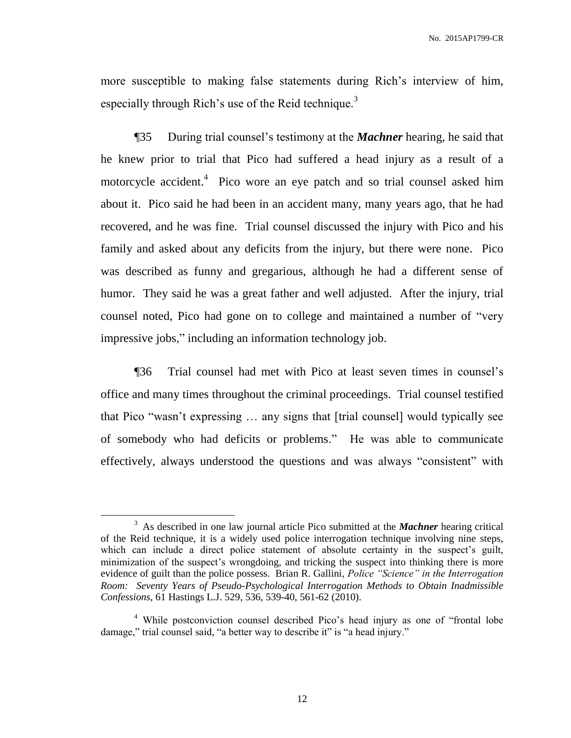more susceptible to making false statements during Rich's interview of him, especially through Rich's use of the Reid technique.<sup>3</sup>

¶35 During trial counsel's testimony at the *Machner* hearing, he said that he knew prior to trial that Pico had suffered a head injury as a result of a motorcycle accident.<sup>4</sup> Pico wore an eye patch and so trial counsel asked him about it. Pico said he had been in an accident many, many years ago, that he had recovered, and he was fine. Trial counsel discussed the injury with Pico and his family and asked about any deficits from the injury, but there were none. Pico was described as funny and gregarious, although he had a different sense of humor. They said he was a great father and well adjusted. After the injury, trial counsel noted, Pico had gone on to college and maintained a number of "very impressive jobs," including an information technology job.

¶36 Trial counsel had met with Pico at least seven times in counsel's office and many times throughout the criminal proceedings. Trial counsel testified that Pico "wasn't expressing … any signs that [trial counsel] would typically see of somebody who had deficits or problems." He was able to communicate effectively, always understood the questions and was always "consistent" with

<sup>&</sup>lt;sup>3</sup> As described in one law journal article Pico submitted at the *Machner* hearing critical of the Reid technique, it is a widely used police interrogation technique involving nine steps, which can include a direct police statement of absolute certainty in the suspect's guilt, minimization of the suspect's wrongdoing, and tricking the suspect into thinking there is more evidence of guilt than the police possess. Brian R. Gallini, *Police "Science" in the Interrogation Room: Seventy Years of Pseudo-Psychological Interrogation Methods to Obtain Inadmissible Confessions*, 61 Hastings L.J. 529, 536, 539-40, 561-62 (2010).

<sup>&</sup>lt;sup>4</sup> While postconviction counsel described Pico's head injury as one of "frontal lobe damage," trial counsel said, "a better way to describe it" is "a head injury."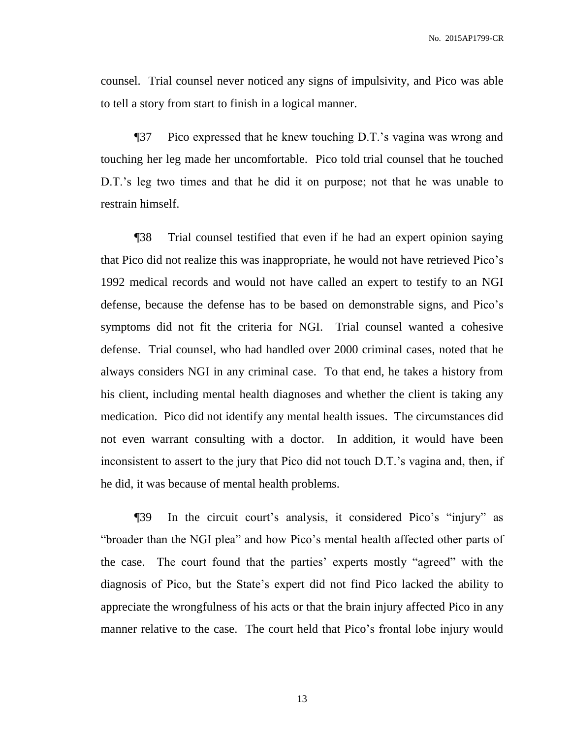counsel. Trial counsel never noticed any signs of impulsivity, and Pico was able to tell a story from start to finish in a logical manner.

¶37 Pico expressed that he knew touching D.T.'s vagina was wrong and touching her leg made her uncomfortable. Pico told trial counsel that he touched D.T.'s leg two times and that he did it on purpose; not that he was unable to restrain himself.

¶38 Trial counsel testified that even if he had an expert opinion saying that Pico did not realize this was inappropriate, he would not have retrieved Pico's 1992 medical records and would not have called an expert to testify to an NGI defense, because the defense has to be based on demonstrable signs, and Pico's symptoms did not fit the criteria for NGI. Trial counsel wanted a cohesive defense. Trial counsel, who had handled over 2000 criminal cases, noted that he always considers NGI in any criminal case. To that end, he takes a history from his client, including mental health diagnoses and whether the client is taking any medication. Pico did not identify any mental health issues. The circumstances did not even warrant consulting with a doctor. In addition, it would have been inconsistent to assert to the jury that Pico did not touch D.T.'s vagina and, then, if he did, it was because of mental health problems.

¶39 In the circuit court's analysis, it considered Pico's "injury" as "broader than the NGI plea" and how Pico's mental health affected other parts of the case. The court found that the parties' experts mostly "agreed" with the diagnosis of Pico, but the State's expert did not find Pico lacked the ability to appreciate the wrongfulness of his acts or that the brain injury affected Pico in any manner relative to the case. The court held that Pico's frontal lobe injury would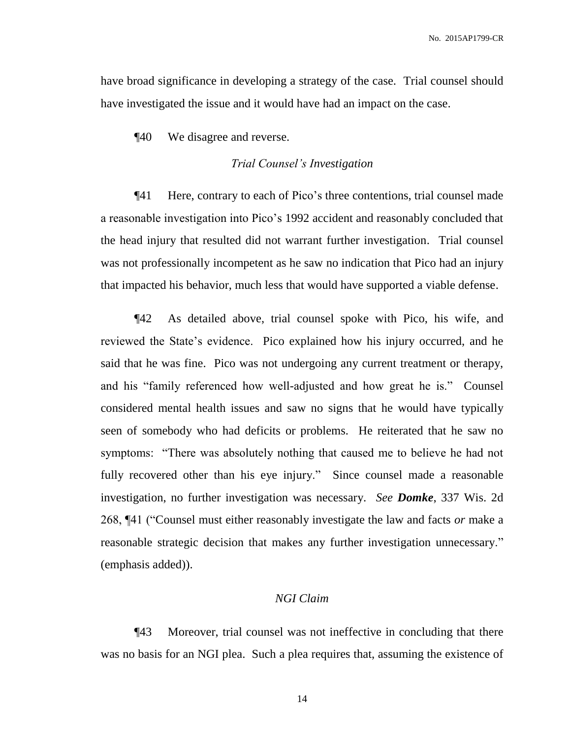have broad significance in developing a strategy of the case. Trial counsel should have investigated the issue and it would have had an impact on the case.

¶40 We disagree and reverse.

#### *Trial Counsel's Investigation*

¶41 Here, contrary to each of Pico's three contentions, trial counsel made a reasonable investigation into Pico's 1992 accident and reasonably concluded that the head injury that resulted did not warrant further investigation. Trial counsel was not professionally incompetent as he saw no indication that Pico had an injury that impacted his behavior, much less that would have supported a viable defense.

¶42 As detailed above, trial counsel spoke with Pico, his wife, and reviewed the State's evidence. Pico explained how his injury occurred, and he said that he was fine. Pico was not undergoing any current treatment or therapy, and his "family referenced how well-adjusted and how great he is." Counsel considered mental health issues and saw no signs that he would have typically seen of somebody who had deficits or problems. He reiterated that he saw no symptoms: "There was absolutely nothing that caused me to believe he had not fully recovered other than his eye injury." Since counsel made a reasonable investigation, no further investigation was necessary. *See Domke*, 337 Wis. 2d 268, ¶41 ("Counsel must either reasonably investigate the law and facts *or* make a reasonable strategic decision that makes any further investigation unnecessary." (emphasis added)).

#### *NGI Claim*

¶43 Moreover, trial counsel was not ineffective in concluding that there was no basis for an NGI plea. Such a plea requires that, assuming the existence of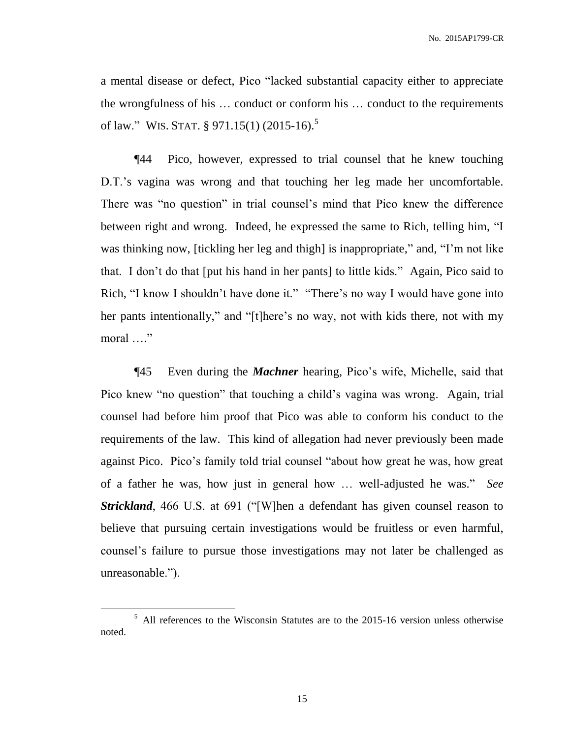a mental disease or defect, Pico "lacked substantial capacity either to appreciate the wrongfulness of his … conduct or conform his … conduct to the requirements of law." WIS. STAT. § 971.15(1) (2015-16).<sup>5</sup>

¶44 Pico, however, expressed to trial counsel that he knew touching D.T.'s vagina was wrong and that touching her leg made her uncomfortable. There was "no question" in trial counsel's mind that Pico knew the difference between right and wrong. Indeed, he expressed the same to Rich, telling him, "I was thinking now, [tickling her leg and thigh] is inappropriate," and, "I'm not like that. I don't do that [put his hand in her pants] to little kids." Again, Pico said to Rich, "I know I shouldn't have done it." "There's no way I would have gone into her pants intentionally," and "[t]here's no way, not with kids there, not with my moral …."

¶45 Even during the *Machner* hearing, Pico's wife, Michelle, said that Pico knew "no question" that touching a child's vagina was wrong. Again, trial counsel had before him proof that Pico was able to conform his conduct to the requirements of the law. This kind of allegation had never previously been made against Pico. Pico's family told trial counsel "about how great he was, how great of a father he was, how just in general how … well-adjusted he was." *See Strickland*, 466 U.S. at 691 ("[W]hen a defendant has given counsel reason to believe that pursuing certain investigations would be fruitless or even harmful, counsel's failure to pursue those investigations may not later be challenged as unreasonable.").

<sup>&</sup>lt;sup>5</sup> All references to the Wisconsin Statutes are to the 2015-16 version unless otherwise noted.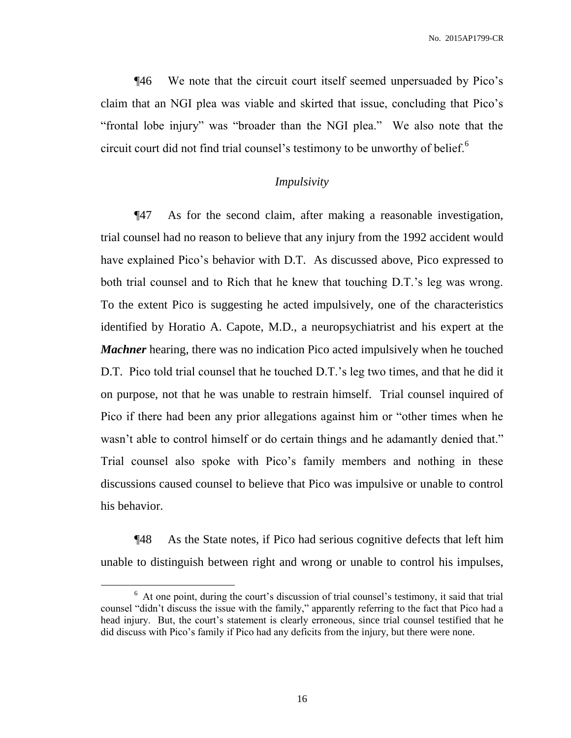¶46 We note that the circuit court itself seemed unpersuaded by Pico's claim that an NGI plea was viable and skirted that issue, concluding that Pico's "frontal lobe injury" was "broader than the NGI plea." We also note that the circuit court did not find trial counsel's testimony to be unworthy of belief.<sup>6</sup>

#### *Impulsivity*

¶47 As for the second claim, after making a reasonable investigation, trial counsel had no reason to believe that any injury from the 1992 accident would have explained Pico's behavior with D.T. As discussed above, Pico expressed to both trial counsel and to Rich that he knew that touching D.T.'s leg was wrong. To the extent Pico is suggesting he acted impulsively, one of the characteristics identified by Horatio A. Capote, M.D., a neuropsychiatrist and his expert at the *Machner* hearing, there was no indication Pico acted impulsively when he touched D.T. Pico told trial counsel that he touched D.T.'s leg two times, and that he did it on purpose, not that he was unable to restrain himself. Trial counsel inquired of Pico if there had been any prior allegations against him or "other times when he wasn't able to control himself or do certain things and he adamantly denied that." Trial counsel also spoke with Pico's family members and nothing in these discussions caused counsel to believe that Pico was impulsive or unable to control his behavior.

¶48 As the State notes, if Pico had serious cognitive defects that left him unable to distinguish between right and wrong or unable to control his impulses,

<sup>&</sup>lt;sup>6</sup> At one point, during the court's discussion of trial counsel's testimony, it said that trial counsel "didn't discuss the issue with the family," apparently referring to the fact that Pico had a head injury. But, the court's statement is clearly erroneous, since trial counsel testified that he did discuss with Pico's family if Pico had any deficits from the injury, but there were none.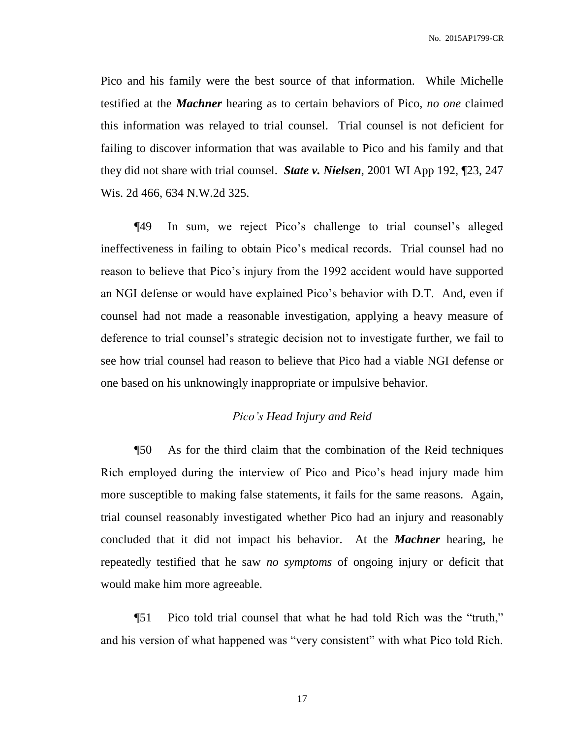Pico and his family were the best source of that information. While Michelle testified at the *Machner* hearing as to certain behaviors of Pico, *no one* claimed this information was relayed to trial counsel. Trial counsel is not deficient for failing to discover information that was available to Pico and his family and that they did not share with trial counsel. *State v. Nielsen*, 2001 WI App 192, ¶23, 247 Wis. 2d 466, 634 N.W.2d 325.

¶49 In sum, we reject Pico's challenge to trial counsel's alleged ineffectiveness in failing to obtain Pico's medical records. Trial counsel had no reason to believe that Pico's injury from the 1992 accident would have supported an NGI defense or would have explained Pico's behavior with D.T. And, even if counsel had not made a reasonable investigation, applying a heavy measure of deference to trial counsel's strategic decision not to investigate further, we fail to see how trial counsel had reason to believe that Pico had a viable NGI defense or one based on his unknowingly inappropriate or impulsive behavior.

#### *Pico's Head Injury and Reid*

¶50 As for the third claim that the combination of the Reid techniques Rich employed during the interview of Pico and Pico's head injury made him more susceptible to making false statements, it fails for the same reasons. Again, trial counsel reasonably investigated whether Pico had an injury and reasonably concluded that it did not impact his behavior. At the *Machner* hearing, he repeatedly testified that he saw *no symptoms* of ongoing injury or deficit that would make him more agreeable.

¶51 Pico told trial counsel that what he had told Rich was the "truth," and his version of what happened was "very consistent" with what Pico told Rich.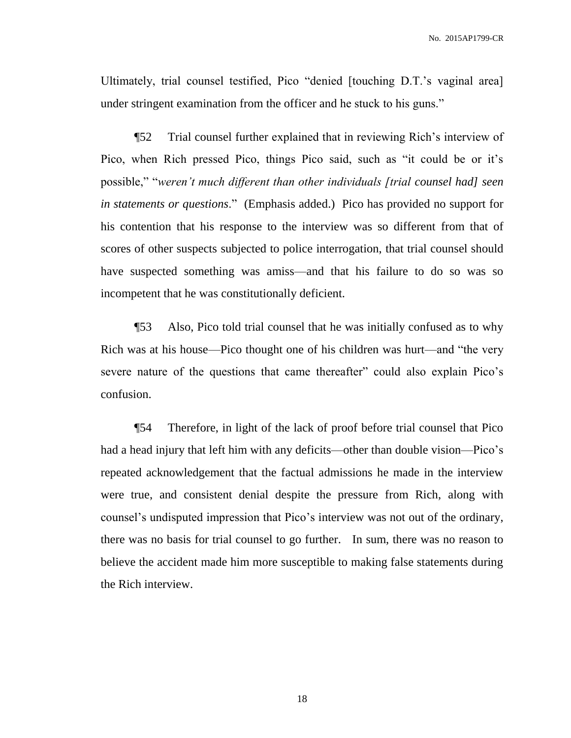Ultimately, trial counsel testified, Pico "denied [touching D.T.'s vaginal area] under stringent examination from the officer and he stuck to his guns."

¶52 Trial counsel further explained that in reviewing Rich's interview of Pico, when Rich pressed Pico, things Pico said, such as "it could be or it's possible," "*weren't much different than other individuals [trial counsel had] seen in statements or questions*." (Emphasis added.) Pico has provided no support for his contention that his response to the interview was so different from that of scores of other suspects subjected to police interrogation, that trial counsel should have suspected something was amiss—and that his failure to do so was so incompetent that he was constitutionally deficient.

¶53 Also, Pico told trial counsel that he was initially confused as to why Rich was at his house—Pico thought one of his children was hurt—and "the very severe nature of the questions that came thereafter" could also explain Pico's confusion.

¶54 Therefore, in light of the lack of proof before trial counsel that Pico had a head injury that left him with any deficits—other than double vision—Pico's repeated acknowledgement that the factual admissions he made in the interview were true, and consistent denial despite the pressure from Rich, along with counsel's undisputed impression that Pico's interview was not out of the ordinary, there was no basis for trial counsel to go further. In sum, there was no reason to believe the accident made him more susceptible to making false statements during the Rich interview.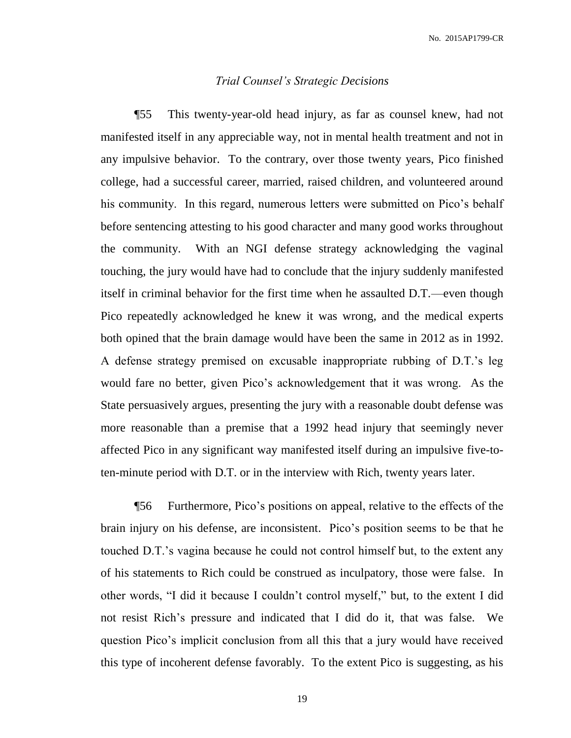#### *Trial Counsel's Strategic Decisions*

¶55 This twenty-year-old head injury, as far as counsel knew, had not manifested itself in any appreciable way, not in mental health treatment and not in any impulsive behavior. To the contrary, over those twenty years, Pico finished college, had a successful career, married, raised children, and volunteered around his community. In this regard, numerous letters were submitted on Pico's behalf before sentencing attesting to his good character and many good works throughout the community. With an NGI defense strategy acknowledging the vaginal touching, the jury would have had to conclude that the injury suddenly manifested itself in criminal behavior for the first time when he assaulted D.T.—even though Pico repeatedly acknowledged he knew it was wrong, and the medical experts both opined that the brain damage would have been the same in 2012 as in 1992. A defense strategy premised on excusable inappropriate rubbing of D.T.'s leg would fare no better, given Pico's acknowledgement that it was wrong. As the State persuasively argues, presenting the jury with a reasonable doubt defense was more reasonable than a premise that a 1992 head injury that seemingly never affected Pico in any significant way manifested itself during an impulsive five-toten-minute period with D.T. or in the interview with Rich, twenty years later.

¶56 Furthermore, Pico's positions on appeal, relative to the effects of the brain injury on his defense, are inconsistent. Pico's position seems to be that he touched D.T.'s vagina because he could not control himself but, to the extent any of his statements to Rich could be construed as inculpatory, those were false. In other words, "I did it because I couldn't control myself," but, to the extent I did not resist Rich's pressure and indicated that I did do it, that was false. We question Pico's implicit conclusion from all this that a jury would have received this type of incoherent defense favorably. To the extent Pico is suggesting, as his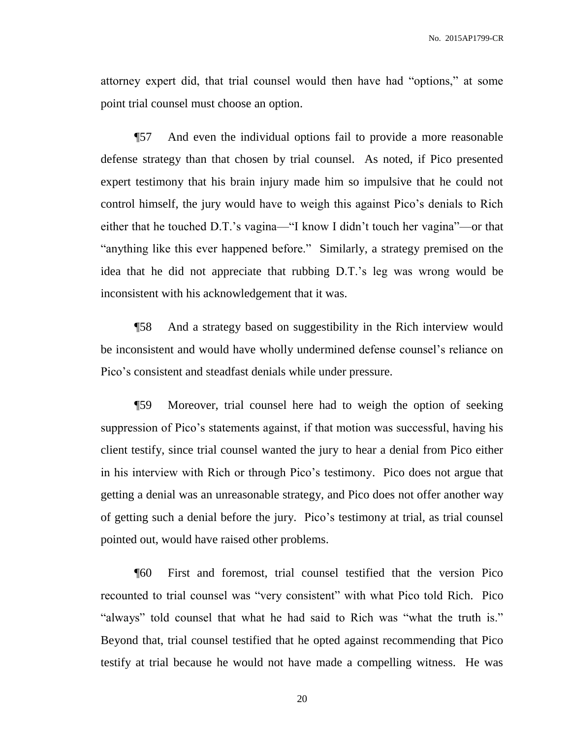attorney expert did, that trial counsel would then have had "options," at some point trial counsel must choose an option.

¶57 And even the individual options fail to provide a more reasonable defense strategy than that chosen by trial counsel. As noted, if Pico presented expert testimony that his brain injury made him so impulsive that he could not control himself, the jury would have to weigh this against Pico's denials to Rich either that he touched D.T.'s vagina—"I know I didn't touch her vagina"—or that "anything like this ever happened before." Similarly, a strategy premised on the idea that he did not appreciate that rubbing D.T.'s leg was wrong would be inconsistent with his acknowledgement that it was.

¶58 And a strategy based on suggestibility in the Rich interview would be inconsistent and would have wholly undermined defense counsel's reliance on Pico's consistent and steadfast denials while under pressure.

¶59 Moreover, trial counsel here had to weigh the option of seeking suppression of Pico's statements against, if that motion was successful, having his client testify, since trial counsel wanted the jury to hear a denial from Pico either in his interview with Rich or through Pico's testimony. Pico does not argue that getting a denial was an unreasonable strategy, and Pico does not offer another way of getting such a denial before the jury. Pico's testimony at trial, as trial counsel pointed out, would have raised other problems.

¶60 First and foremost, trial counsel testified that the version Pico recounted to trial counsel was "very consistent" with what Pico told Rich. Pico "always" told counsel that what he had said to Rich was "what the truth is." Beyond that, trial counsel testified that he opted against recommending that Pico testify at trial because he would not have made a compelling witness. He was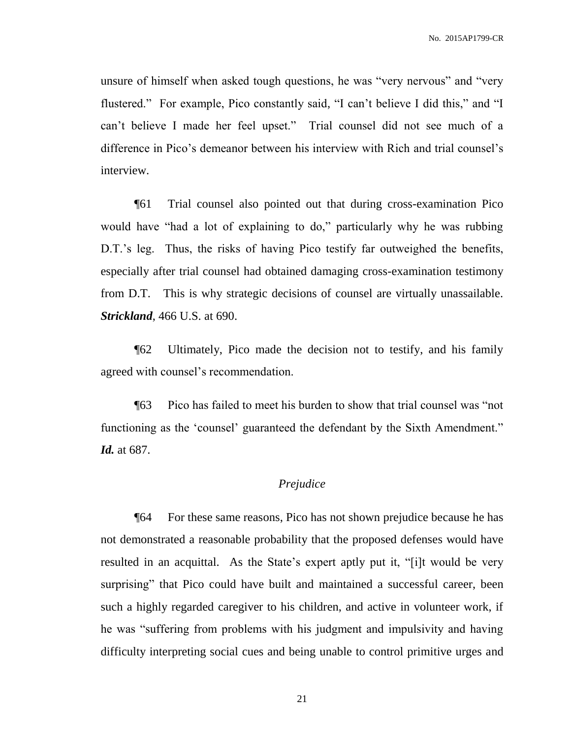unsure of himself when asked tough questions, he was "very nervous" and "very flustered." For example, Pico constantly said, "I can't believe I did this," and "I can't believe I made her feel upset." Trial counsel did not see much of a difference in Pico's demeanor between his interview with Rich and trial counsel's interview.

¶61 Trial counsel also pointed out that during cross-examination Pico would have "had a lot of explaining to do," particularly why he was rubbing D.T.'s leg. Thus, the risks of having Pico testify far outweighed the benefits, especially after trial counsel had obtained damaging cross-examination testimony from D.T. This is why strategic decisions of counsel are virtually unassailable. *Strickland*, 466 U.S. at 690.

¶62 Ultimately, Pico made the decision not to testify, and his family agreed with counsel's recommendation.

¶63 Pico has failed to meet his burden to show that trial counsel was "not functioning as the 'counsel' guaranteed the defendant by the Sixth Amendment." *Id.* at 687.

### *Prejudice*

¶64 For these same reasons, Pico has not shown prejudice because he has not demonstrated a reasonable probability that the proposed defenses would have resulted in an acquittal. As the State's expert aptly put it, "[i]t would be very surprising" that Pico could have built and maintained a successful career, been such a highly regarded caregiver to his children, and active in volunteer work, if he was "suffering from problems with his judgment and impulsivity and having difficulty interpreting social cues and being unable to control primitive urges and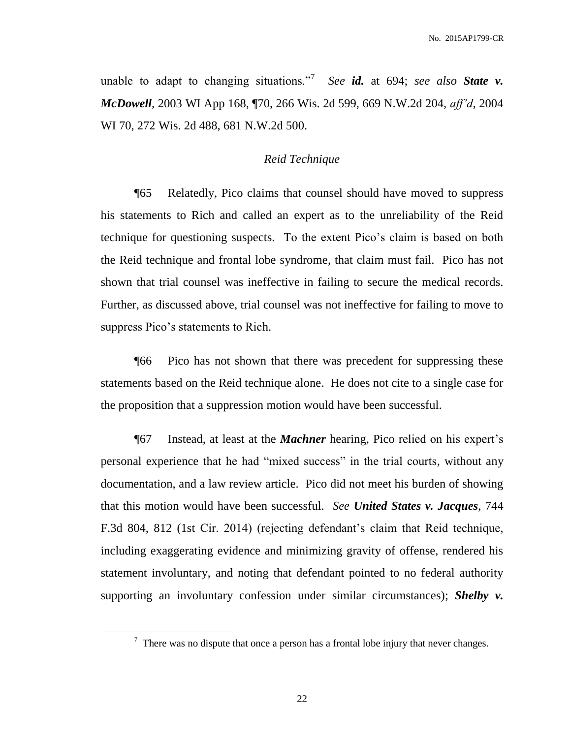unable to adapt to changing situations.<sup>7</sup> See *id*. at 694; *see also* State v. *McDowell*, 2003 WI App 168, ¶70, 266 Wis. 2d 599, 669 N.W.2d 204, *aff'd*, 2004 WI 70, 272 Wis. 2d 488, 681 N.W.2d 500.

#### *Reid Technique*

¶65 Relatedly, Pico claims that counsel should have moved to suppress his statements to Rich and called an expert as to the unreliability of the Reid technique for questioning suspects. To the extent Pico's claim is based on both the Reid technique and frontal lobe syndrome, that claim must fail. Pico has not shown that trial counsel was ineffective in failing to secure the medical records. Further, as discussed above, trial counsel was not ineffective for failing to move to suppress Pico's statements to Rich.

¶66 Pico has not shown that there was precedent for suppressing these statements based on the Reid technique alone. He does not cite to a single case for the proposition that a suppression motion would have been successful.

¶67 Instead, at least at the *Machner* hearing, Pico relied on his expert's personal experience that he had "mixed success" in the trial courts, without any documentation, and a law review article. Pico did not meet his burden of showing that this motion would have been successful. *See United States v. Jacques*, 744 F.3d 804, 812 (1st Cir. 2014) (rejecting defendant's claim that Reid technique, including exaggerating evidence and minimizing gravity of offense, rendered his statement involuntary, and noting that defendant pointed to no federal authority supporting an involuntary confession under similar circumstances); *Shelby v.* 

 $<sup>7</sup>$  There was no dispute that once a person has a frontal lobe injury that never changes.</sup>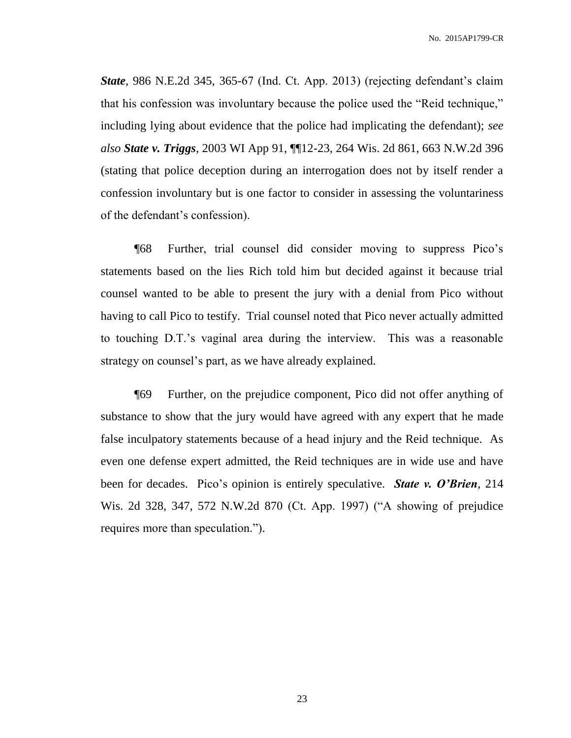*State*, 986 N.E.2d 345, 365-67 (Ind. Ct. App. 2013) (rejecting defendant's claim that his confession was involuntary because the police used the "Reid technique," including lying about evidence that the police had implicating the defendant); *see also State v. Triggs*, 2003 WI App 91, ¶¶12-23, 264 Wis. 2d 861, 663 N.W.2d 396 (stating that police deception during an interrogation does not by itself render a confession involuntary but is one factor to consider in assessing the voluntariness of the defendant's confession).

¶68 Further, trial counsel did consider moving to suppress Pico's statements based on the lies Rich told him but decided against it because trial counsel wanted to be able to present the jury with a denial from Pico without having to call Pico to testify. Trial counsel noted that Pico never actually admitted to touching D.T.'s vaginal area during the interview. This was a reasonable strategy on counsel's part, as we have already explained.

¶69 Further, on the prejudice component, Pico did not offer anything of substance to show that the jury would have agreed with any expert that he made false inculpatory statements because of a head injury and the Reid technique. As even one defense expert admitted, the Reid techniques are in wide use and have been for decades. Pico's opinion is entirely speculative. *State v. O'Brien*, 214 Wis. 2d 328, 347, 572 N.W.2d 870 (Ct. App. 1997) ("A showing of prejudice requires more than speculation.").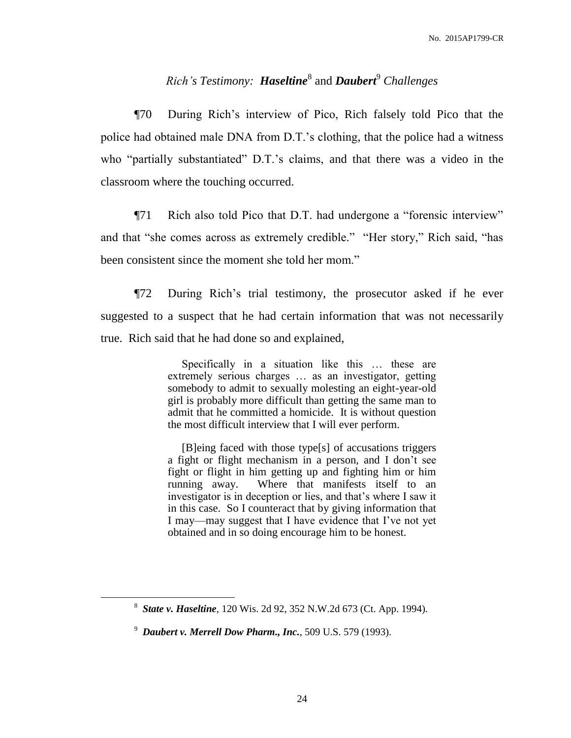# *Rich's Testimony: Haseltine*<sup>8</sup> and *Daubert*<sup>9</sup> *Challenges*

¶70 During Rich's interview of Pico, Rich falsely told Pico that the police had obtained male DNA from D.T.'s clothing, that the police had a witness who "partially substantiated" D.T.'s claims, and that there was a video in the classroom where the touching occurred.

¶71 Rich also told Pico that D.T. had undergone a "forensic interview" and that "she comes across as extremely credible." "Her story," Rich said, "has been consistent since the moment she told her mom."

¶72 During Rich's trial testimony, the prosecutor asked if he ever suggested to a suspect that he had certain information that was not necessarily true. Rich said that he had done so and explained,

> Specifically in a situation like this … these are extremely serious charges … as an investigator, getting somebody to admit to sexually molesting an eight-year-old girl is probably more difficult than getting the same man to admit that he committed a homicide. It is without question the most difficult interview that I will ever perform.

> [B]eing faced with those type[s] of accusations triggers a fight or flight mechanism in a person, and I don't see fight or flight in him getting up and fighting him or him running away. Where that manifests itself to an investigator is in deception or lies, and that's where I saw it in this case. So I counteract that by giving information that I may—may suggest that I have evidence that I've not yet obtained and in so doing encourage him to be honest.

<sup>8</sup> *State v. Haseltine*, 120 Wis. 2d 92, 352 N.W.2d 673 (Ct. App. 1994).

<sup>9</sup> *Daubert v. Merrell Dow Pharm., Inc.*, 509 U.S. 579 (1993).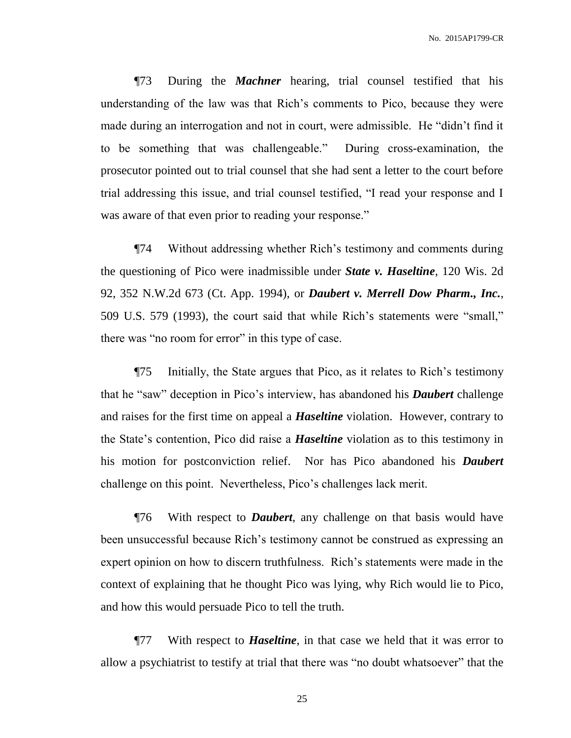¶73 During the *Machner* hearing, trial counsel testified that his understanding of the law was that Rich's comments to Pico, because they were made during an interrogation and not in court, were admissible. He "didn't find it to be something that was challengeable." During cross-examination, the prosecutor pointed out to trial counsel that she had sent a letter to the court before trial addressing this issue, and trial counsel testified, "I read your response and I was aware of that even prior to reading your response."

¶74 Without addressing whether Rich's testimony and comments during the questioning of Pico were inadmissible under *State v. Haseltine*, 120 Wis. 2d 92, 352 N.W.2d 673 (Ct. App. 1994), or *Daubert v. Merrell Dow Pharm., Inc.*, 509 U.S. 579 (1993), the court said that while Rich's statements were "small," there was "no room for error" in this type of case.

¶75 Initially, the State argues that Pico, as it relates to Rich's testimony that he "saw" deception in Pico's interview, has abandoned his *Daubert* challenge and raises for the first time on appeal a *Haseltine* violation. However, contrary to the State's contention, Pico did raise a *Haseltine* violation as to this testimony in his motion for postconviction relief. Nor has Pico abandoned his *Daubert*  challenge on this point. Nevertheless, Pico's challenges lack merit.

¶76 With respect to *Daubert*, any challenge on that basis would have been unsuccessful because Rich's testimony cannot be construed as expressing an expert opinion on how to discern truthfulness. Rich's statements were made in the context of explaining that he thought Pico was lying, why Rich would lie to Pico, and how this would persuade Pico to tell the truth.

¶77 With respect to *Haseltine*, in that case we held that it was error to allow a psychiatrist to testify at trial that there was "no doubt whatsoever" that the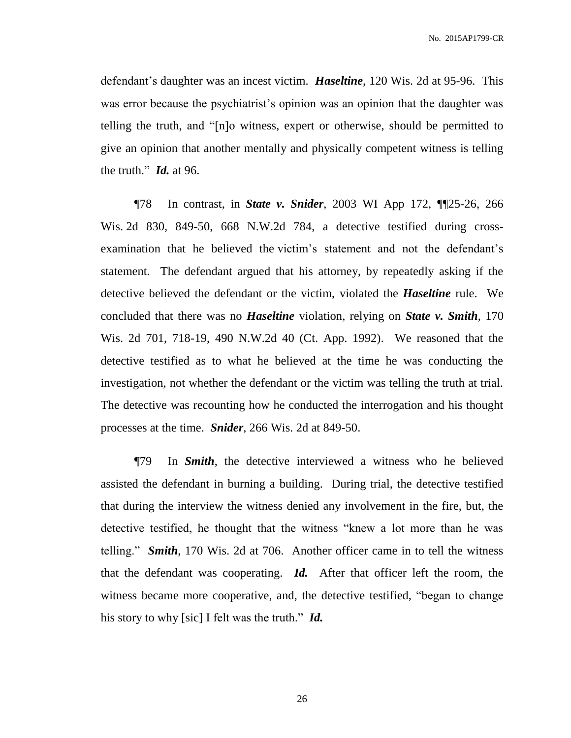defendant's daughter was an incest victim. *Haseltine*, 120 Wis. 2d at 95-96. This was error because the psychiatrist's opinion was an opinion that the daughter was telling the truth, and "[n]o witness, expert or otherwise, should be permitted to give an opinion that another mentally and physically competent witness is telling the truth." *Id.* at 96.

¶78 In contrast, in *State v. Snider*, 2003 WI App 172, ¶¶25-26, 266 Wis. 2d 830, 849-50, 668 N.W.2d 784, a detective testified during crossexamination that he believed the victim's statement and not the defendant's statement. The defendant argued that his attorney, by repeatedly asking if the detective believed the defendant or the victim, violated the *Haseltine* rule. We concluded that there was no *Haseltine* violation, relying on *State v. Smith*, 170 Wis. 2d 701, 718-19, 490 N.W.2d 40 (Ct. App. 1992). We reasoned that the detective testified as to what he believed at the time he was conducting the investigation, not whether the defendant or the victim was telling the truth at trial. The detective was recounting how he conducted the interrogation and his thought processes at the time. *Snider*, 266 Wis. 2d at 849-50.

¶79 In *Smith*, the detective interviewed a witness who he believed assisted the defendant in burning a building. During trial, the detective testified that during the interview the witness denied any involvement in the fire, but, the detective testified, he thought that the witness "knew a lot more than he was telling." *Smith*, 170 Wis. 2d at 706. Another officer came in to tell the witness that the defendant was cooperating. *Id.* After that officer left the room, the witness became more cooperative, and, the detective testified, "began to change his story to why [sic] I felt was the truth." *Id.*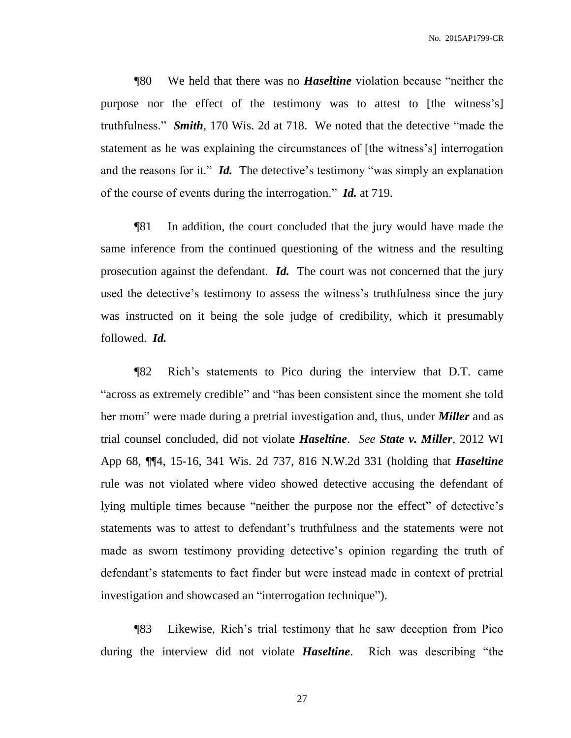¶80 We held that there was no *Haseltine* violation because "neither the purpose nor the effect of the testimony was to attest to [the witness's] truthfulness." *Smith*, 170 Wis. 2d at 718. We noted that the detective "made the statement as he was explaining the circumstances of [the witness's] interrogation and the reasons for it." *Id.* The detective's testimony "was simply an explanation of the course of events during the interrogation." *Id.* at 719.

¶81 In addition, the court concluded that the jury would have made the same inference from the continued questioning of the witness and the resulting prosecution against the defendant. *Id.* The court was not concerned that the jury used the detective's testimony to assess the witness's truthfulness since the jury was instructed on it being the sole judge of credibility, which it presumably followed. *Id.*

¶82 Rich's statements to Pico during the interview that D.T. came "across as extremely credible" and "has been consistent since the moment she told her mom" were made during a pretrial investigation and, thus, under *Miller* and as trial counsel concluded, did not violate *Haseltine*. *See State v. Miller*, 2012 WI App 68, ¶¶4, 15-16, 341 Wis. 2d 737, 816 N.W.2d 331 (holding that *Haseltine* rule was not violated where video showed detective accusing the defendant of lying multiple times because "neither the purpose nor the effect" of detective's statements was to attest to defendant's truthfulness and the statements were not made as sworn testimony providing detective's opinion regarding the truth of defendant's statements to fact finder but were instead made in context of pretrial investigation and showcased an "interrogation technique").

¶83 Likewise, Rich's trial testimony that he saw deception from Pico during the interview did not violate *Haseltine*. Rich was describing "the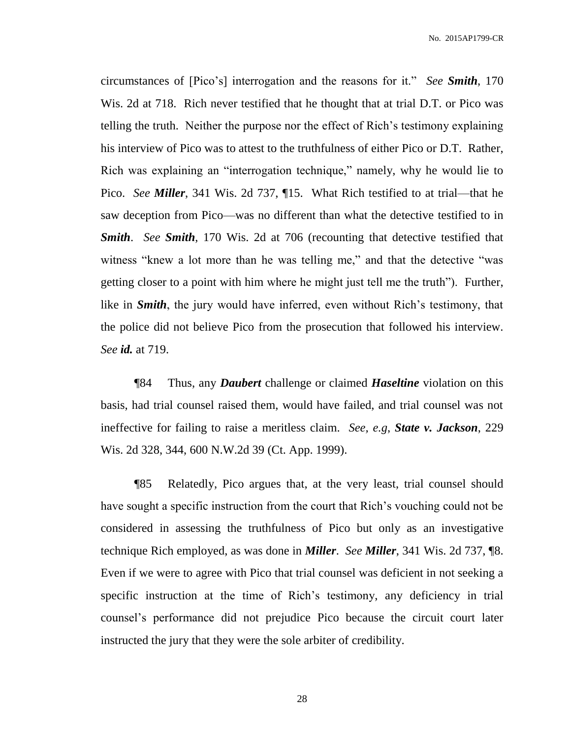circumstances of [Pico's] interrogation and the reasons for it." *See Smith*, 170 Wis. 2d at 718. Rich never testified that he thought that at trial D.T. or Pico was telling the truth. Neither the purpose nor the effect of Rich's testimony explaining his interview of Pico was to attest to the truthfulness of either Pico or D.T. Rather, Rich was explaining an "interrogation technique," namely, why he would lie to Pico. *See Miller*, 341 Wis. 2d 737, ¶15. What Rich testified to at trial—that he saw deception from Pico—was no different than what the detective testified to in *Smith*. *See Smith*, 170 Wis. 2d at 706 (recounting that detective testified that witness "knew a lot more than he was telling me," and that the detective "was getting closer to a point with him where he might just tell me the truth"). Further, like in *Smith*, the jury would have inferred, even without Rich's testimony, that the police did not believe Pico from the prosecution that followed his interview. *See id.* at 719.

¶84 Thus, any *Daubert* challenge or claimed *Haseltine* violation on this basis, had trial counsel raised them, would have failed, and trial counsel was not ineffective for failing to raise a meritless claim. *See, e.g*, *State v. Jackson*, 229 Wis. 2d 328, 344, 600 N.W.2d 39 (Ct. App. 1999).

¶85 Relatedly, Pico argues that, at the very least, trial counsel should have sought a specific instruction from the court that Rich's vouching could not be considered in assessing the truthfulness of Pico but only as an investigative technique Rich employed, as was done in *Miller*. *See Miller*, 341 Wis. 2d 737, ¶8. Even if we were to agree with Pico that trial counsel was deficient in not seeking a specific instruction at the time of Rich's testimony, any deficiency in trial counsel's performance did not prejudice Pico because the circuit court later instructed the jury that they were the sole arbiter of credibility.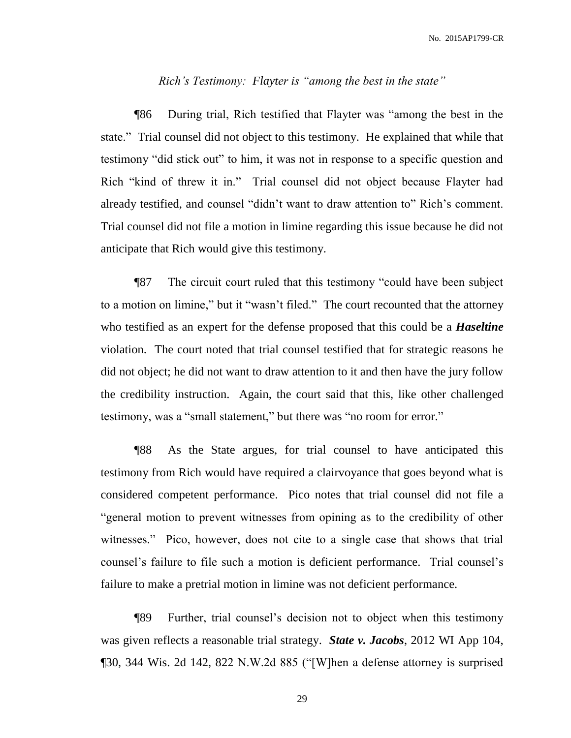#### *Rich's Testimony: Flayter is "among the best in the state"*

¶86 During trial, Rich testified that Flayter was "among the best in the state." Trial counsel did not object to this testimony. He explained that while that testimony "did stick out" to him, it was not in response to a specific question and Rich "kind of threw it in." Trial counsel did not object because Flayter had already testified, and counsel "didn't want to draw attention to" Rich's comment. Trial counsel did not file a motion in limine regarding this issue because he did not anticipate that Rich would give this testimony.

¶87 The circuit court ruled that this testimony "could have been subject to a motion on limine," but it "wasn't filed." The court recounted that the attorney who testified as an expert for the defense proposed that this could be a *Haseltine* violation. The court noted that trial counsel testified that for strategic reasons he did not object; he did not want to draw attention to it and then have the jury follow the credibility instruction. Again, the court said that this, like other challenged testimony, was a "small statement," but there was "no room for error."

¶88 As the State argues, for trial counsel to have anticipated this testimony from Rich would have required a clairvoyance that goes beyond what is considered competent performance. Pico notes that trial counsel did not file a "general motion to prevent witnesses from opining as to the credibility of other witnesses." Pico, however, does not cite to a single case that shows that trial counsel's failure to file such a motion is deficient performance. Trial counsel's failure to make a pretrial motion in limine was not deficient performance.

¶89 Further, trial counsel's decision not to object when this testimony was given reflects a reasonable trial strategy. *State v. Jacobs*, 2012 WI App 104, ¶30, 344 Wis. 2d 142, 822 N.W.2d 885 ("[W]hen a defense attorney is surprised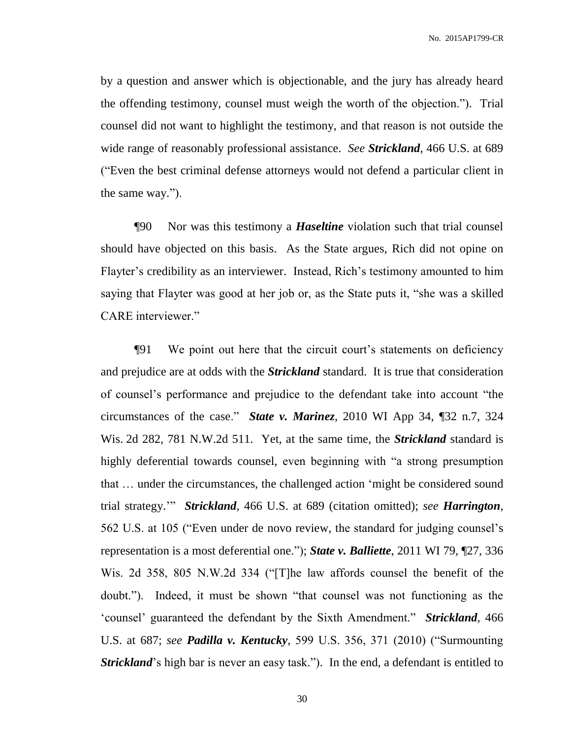by a question and answer which is objectionable, and the jury has already heard the offending testimony, counsel must weigh the worth of the objection."). Trial counsel did not want to highlight the testimony, and that reason is not outside the wide range of reasonably professional assistance. *See Strickland*, 466 U.S. at 689 ("Even the best criminal defense attorneys would not defend a particular client in the same way.").

¶90 Nor was this testimony a *Haseltine* violation such that trial counsel should have objected on this basis. As the State argues, Rich did not opine on Flayter's credibility as an interviewer. Instead, Rich's testimony amounted to him saying that Flayter was good at her job or, as the State puts it, "she was a skilled CARE interviewer."

¶91 We point out here that the circuit court's statements on deficiency and prejudice are at odds with the *Strickland* standard. It is true that consideration of counsel's performance and prejudice to the defendant take into account "the circumstances of the case." *State v. Marinez*, 2010 WI App 34, ¶32 n.7, 324 Wis. 2d 282, 781 N.W.2d 511. Yet, at the same time, the *Strickland* standard is highly deferential towards counsel, even beginning with "a strong presumption that … under the circumstances, the challenged action 'might be considered sound trial strategy.'" *Strickland*, 466 U.S. at 689 (citation omitted); *see Harrington*, 562 U.S. at 105 ("Even under de novo review, the standard for judging counsel's representation is a most deferential one."); *State v. Balliette*, 2011 WI 79, ¶27, 336 Wis. 2d 358, 805 N.W.2d 334 ("[T]he law affords counsel the benefit of the doubt."). Indeed, it must be shown "that counsel was not functioning as the 'counsel' guaranteed the defendant by the Sixth Amendment." *Strickland*, 466 U.S. at 687; *see Padilla v. Kentucky*, 599 U.S. 356, 371 (2010) ("Surmounting *Strickland*'s high bar is never an easy task."). In the end, a defendant is entitled to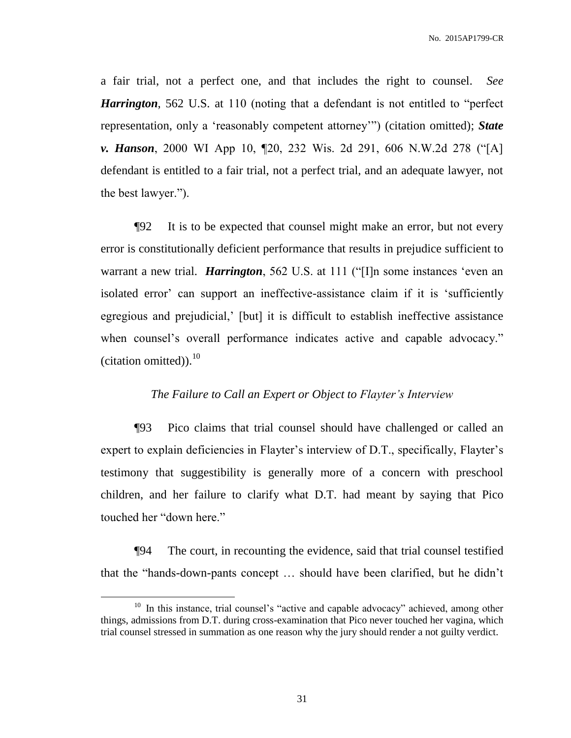a fair trial, not a perfect one, and that includes the right to counsel. *See Harrington*, 562 U.S. at 110 (noting that a defendant is not entitled to "perfect representation, only a 'reasonably competent attorney'") (citation omitted); *State v. Hanson*, 2000 WI App 10, ¶20, 232 Wis. 2d 291, 606 N.W.2d 278 ("[A] defendant is entitled to a fair trial, not a perfect trial, and an adequate lawyer, not the best lawyer.").

¶92 It is to be expected that counsel might make an error, but not every error is constitutionally deficient performance that results in prejudice sufficient to warrant a new trial. *Harrington*, 562 U.S. at 111 ("[I]n some instances 'even an isolated error' can support an ineffective-assistance claim if it is 'sufficiently egregious and prejudicial,' [but] it is difficult to establish ineffective assistance when counsel's overall performance indicates active and capable advocacy." (citation omitted)). $^{10}$ 

#### *The Failure to Call an Expert or Object to Flayter's Interview*

¶93 Pico claims that trial counsel should have challenged or called an expert to explain deficiencies in Flayter's interview of D.T., specifically, Flayter's testimony that suggestibility is generally more of a concern with preschool children, and her failure to clarify what D.T. had meant by saying that Pico touched her "down here."

¶94 The court, in recounting the evidence, said that trial counsel testified that the "hands-down-pants concept … should have been clarified, but he didn't

<sup>&</sup>lt;sup>10</sup> In this instance, trial counsel's "active and capable advocacy" achieved, among other things, admissions from D.T. during cross-examination that Pico never touched her vagina, which trial counsel stressed in summation as one reason why the jury should render a not guilty verdict.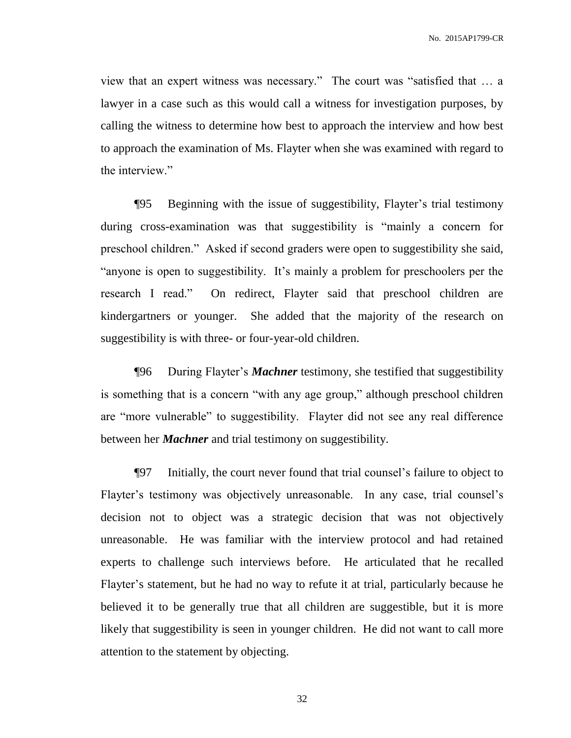view that an expert witness was necessary." The court was "satisfied that … a lawyer in a case such as this would call a witness for investigation purposes, by calling the witness to determine how best to approach the interview and how best to approach the examination of Ms. Flayter when she was examined with regard to the interview."

¶95 Beginning with the issue of suggestibility, Flayter's trial testimony during cross-examination was that suggestibility is "mainly a concern for preschool children." Asked if second graders were open to suggestibility she said, "anyone is open to suggestibility. It's mainly a problem for preschoolers per the research I read." On redirect, Flayter said that preschool children are kindergartners or younger. She added that the majority of the research on suggestibility is with three- or four-year-old children.

¶96 During Flayter's *Machner* testimony, she testified that suggestibility is something that is a concern "with any age group," although preschool children are "more vulnerable" to suggestibility. Flayter did not see any real difference between her *Machner* and trial testimony on suggestibility.

¶97 Initially, the court never found that trial counsel's failure to object to Flayter's testimony was objectively unreasonable. In any case, trial counsel's decision not to object was a strategic decision that was not objectively unreasonable. He was familiar with the interview protocol and had retained experts to challenge such interviews before. He articulated that he recalled Flayter's statement, but he had no way to refute it at trial, particularly because he believed it to be generally true that all children are suggestible, but it is more likely that suggestibility is seen in younger children. He did not want to call more attention to the statement by objecting.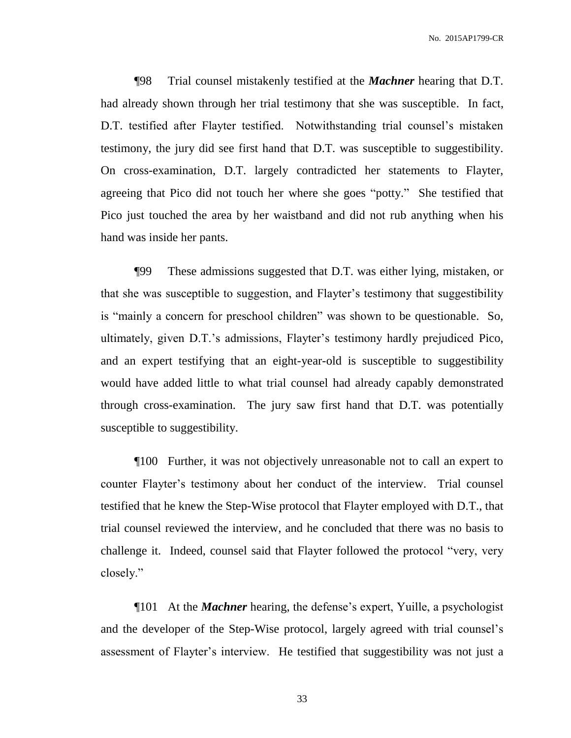¶98 Trial counsel mistakenly testified at the *Machner* hearing that D.T. had already shown through her trial testimony that she was susceptible. In fact, D.T. testified after Flayter testified. Notwithstanding trial counsel's mistaken testimony, the jury did see first hand that D.T. was susceptible to suggestibility. On cross-examination, D.T. largely contradicted her statements to Flayter, agreeing that Pico did not touch her where she goes "potty." She testified that Pico just touched the area by her waistband and did not rub anything when his hand was inside her pants.

¶99 These admissions suggested that D.T. was either lying, mistaken, or that she was susceptible to suggestion, and Flayter's testimony that suggestibility is "mainly a concern for preschool children" was shown to be questionable. So, ultimately, given D.T.'s admissions, Flayter's testimony hardly prejudiced Pico, and an expert testifying that an eight-year-old is susceptible to suggestibility would have added little to what trial counsel had already capably demonstrated through cross-examination. The jury saw first hand that D.T. was potentially susceptible to suggestibility.

¶100 Further, it was not objectively unreasonable not to call an expert to counter Flayter's testimony about her conduct of the interview. Trial counsel testified that he knew the Step-Wise protocol that Flayter employed with D.T., that trial counsel reviewed the interview, and he concluded that there was no basis to challenge it. Indeed, counsel said that Flayter followed the protocol "very, very closely."

¶101 At the *Machner* hearing, the defense's expert, Yuille, a psychologist and the developer of the Step-Wise protocol, largely agreed with trial counsel's assessment of Flayter's interview. He testified that suggestibility was not just a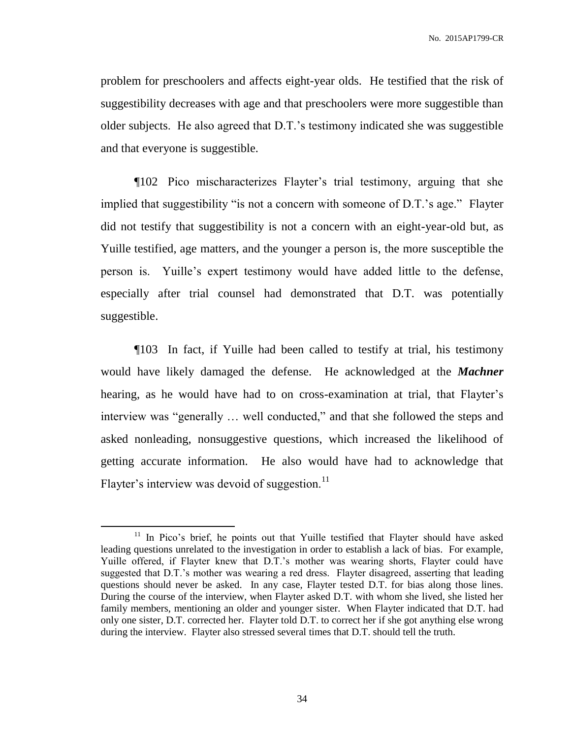problem for preschoolers and affects eight-year olds. He testified that the risk of suggestibility decreases with age and that preschoolers were more suggestible than older subjects. He also agreed that D.T.'s testimony indicated she was suggestible and that everyone is suggestible.

¶102 Pico mischaracterizes Flayter's trial testimony, arguing that she implied that suggestibility "is not a concern with someone of D.T.'s age." Flayter did not testify that suggestibility is not a concern with an eight-year-old but, as Yuille testified, age matters, and the younger a person is, the more susceptible the person is. Yuille's expert testimony would have added little to the defense, especially after trial counsel had demonstrated that D.T. was potentially suggestible.

¶103 In fact, if Yuille had been called to testify at trial, his testimony would have likely damaged the defense. He acknowledged at the *Machner*  hearing, as he would have had to on cross-examination at trial, that Flayter's interview was "generally … well conducted," and that she followed the steps and asked nonleading, nonsuggestive questions, which increased the likelihood of getting accurate information. He also would have had to acknowledge that Flayter's interview was devoid of suggestion. $^{11}$ 

<sup>&</sup>lt;sup>11</sup> In Pico's brief, he points out that Yuille testified that Flayter should have asked leading questions unrelated to the investigation in order to establish a lack of bias. For example, Yuille offered, if Flayter knew that D.T.'s mother was wearing shorts, Flayter could have suggested that D.T.'s mother was wearing a red dress. Flayter disagreed, asserting that leading questions should never be asked. In any case, Flayter tested D.T. for bias along those lines. During the course of the interview, when Flayter asked D.T. with whom she lived, she listed her family members, mentioning an older and younger sister. When Flayter indicated that D.T. had only one sister, D.T. corrected her. Flayter told D.T. to correct her if she got anything else wrong during the interview. Flayter also stressed several times that D.T. should tell the truth.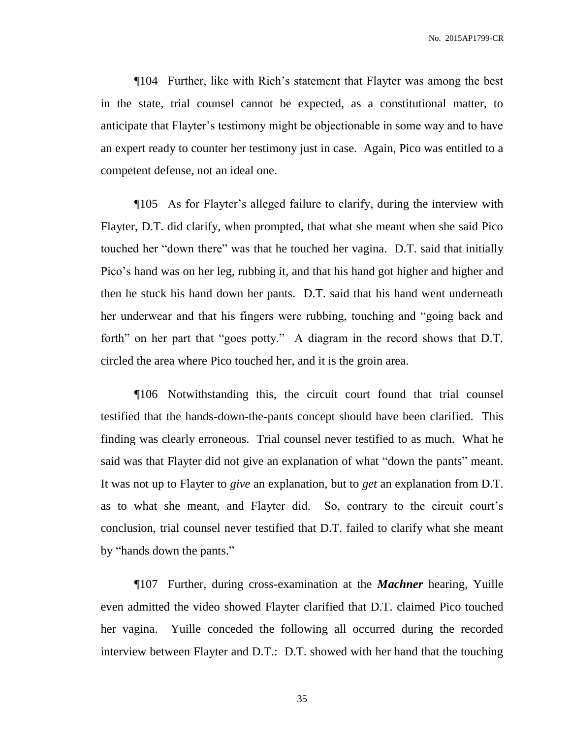¶104 Further, like with Rich's statement that Flayter was among the best in the state, trial counsel cannot be expected, as a constitutional matter, to anticipate that Flayter's testimony might be objectionable in some way and to have an expert ready to counter her testimony just in case. Again, Pico was entitled to a competent defense, not an ideal one.

¶105 As for Flayter's alleged failure to clarify, during the interview with Flayter, D.T. did clarify, when prompted, that what she meant when she said Pico touched her "down there" was that he touched her vagina. D.T. said that initially Pico's hand was on her leg, rubbing it, and that his hand got higher and higher and then he stuck his hand down her pants. D.T. said that his hand went underneath her underwear and that his fingers were rubbing, touching and "going back and forth" on her part that "goes potty." A diagram in the record shows that D.T. circled the area where Pico touched her, and it is the groin area.

¶106 Notwithstanding this, the circuit court found that trial counsel testified that the hands-down-the-pants concept should have been clarified. This finding was clearly erroneous. Trial counsel never testified to as much. What he said was that Flayter did not give an explanation of what "down the pants" meant. It was not up to Flayter to *give* an explanation, but to *get* an explanation from D.T. as to what she meant, and Flayter did. So, contrary to the circuit court's conclusion, trial counsel never testified that D.T. failed to clarify what she meant by "hands down the pants."

¶107 Further, during cross-examination at the *Machner* hearing, Yuille even admitted the video showed Flayter clarified that D.T. claimed Pico touched her vagina. Yuille conceded the following all occurred during the recorded interview between Flayter and D.T.: D.T. showed with her hand that the touching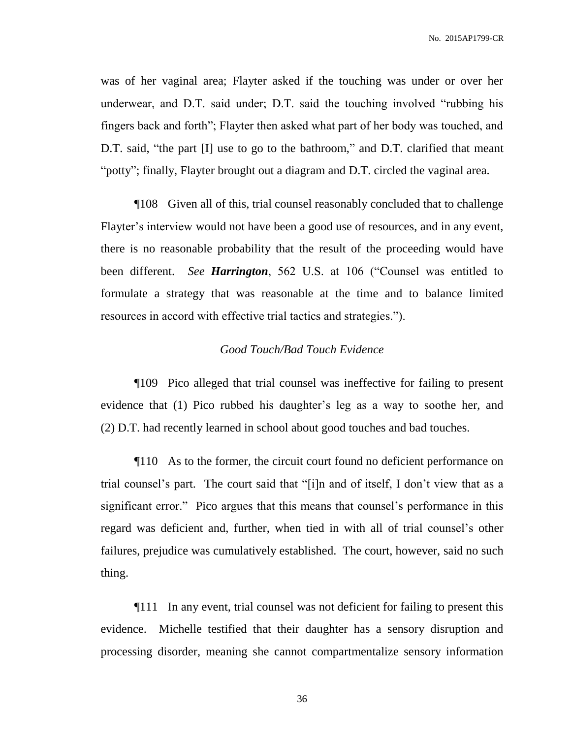was of her vaginal area; Flayter asked if the touching was under or over her underwear, and D.T. said under; D.T. said the touching involved "rubbing his fingers back and forth"; Flayter then asked what part of her body was touched, and D.T. said, "the part [I] use to go to the bathroom," and D.T. clarified that meant "potty"; finally, Flayter brought out a diagram and D.T. circled the vaginal area.

¶108 Given all of this, trial counsel reasonably concluded that to challenge Flayter's interview would not have been a good use of resources, and in any event, there is no reasonable probability that the result of the proceeding would have been different. *See Harrington*, 562 U.S. at 106 ("Counsel was entitled to formulate a strategy that was reasonable at the time and to balance limited resources in accord with effective trial tactics and strategies.").

#### *Good Touch/Bad Touch Evidence*

¶109 Pico alleged that trial counsel was ineffective for failing to present evidence that (1) Pico rubbed his daughter's leg as a way to soothe her, and (2) D.T. had recently learned in school about good touches and bad touches.

¶110 As to the former, the circuit court found no deficient performance on trial counsel's part. The court said that "[i]n and of itself, I don't view that as a significant error." Pico argues that this means that counsel's performance in this regard was deficient and, further, when tied in with all of trial counsel's other failures, prejudice was cumulatively established. The court, however, said no such thing.

¶111 In any event, trial counsel was not deficient for failing to present this evidence. Michelle testified that their daughter has a sensory disruption and processing disorder, meaning she cannot compartmentalize sensory information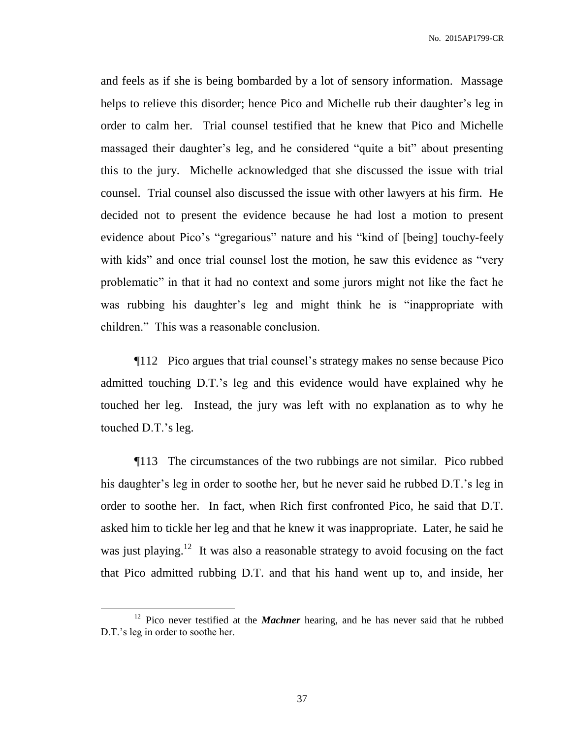and feels as if she is being bombarded by a lot of sensory information. Massage helps to relieve this disorder; hence Pico and Michelle rub their daughter's leg in order to calm her. Trial counsel testified that he knew that Pico and Michelle massaged their daughter's leg, and he considered "quite a bit" about presenting this to the jury. Michelle acknowledged that she discussed the issue with trial counsel. Trial counsel also discussed the issue with other lawyers at his firm. He decided not to present the evidence because he had lost a motion to present evidence about Pico's "gregarious" nature and his "kind of [being] touchy-feely with kids" and once trial counsel lost the motion, he saw this evidence as "very problematic" in that it had no context and some jurors might not like the fact he was rubbing his daughter's leg and might think he is "inappropriate with children." This was a reasonable conclusion.

¶112 Pico argues that trial counsel's strategy makes no sense because Pico admitted touching D.T.'s leg and this evidence would have explained why he touched her leg. Instead, the jury was left with no explanation as to why he touched D.T.'s leg.

¶113 The circumstances of the two rubbings are not similar. Pico rubbed his daughter's leg in order to soothe her, but he never said he rubbed D.T.'s leg in order to soothe her. In fact, when Rich first confronted Pico, he said that D.T. asked him to tickle her leg and that he knew it was inappropriate. Later, he said he was just playing.<sup>12</sup> It was also a reasonable strategy to avoid focusing on the fact that Pico admitted rubbing D.T. and that his hand went up to, and inside, her

<sup>&</sup>lt;sup>12</sup> Pico never testified at the *Machner* hearing, and he has never said that he rubbed D.T.'s leg in order to soothe her.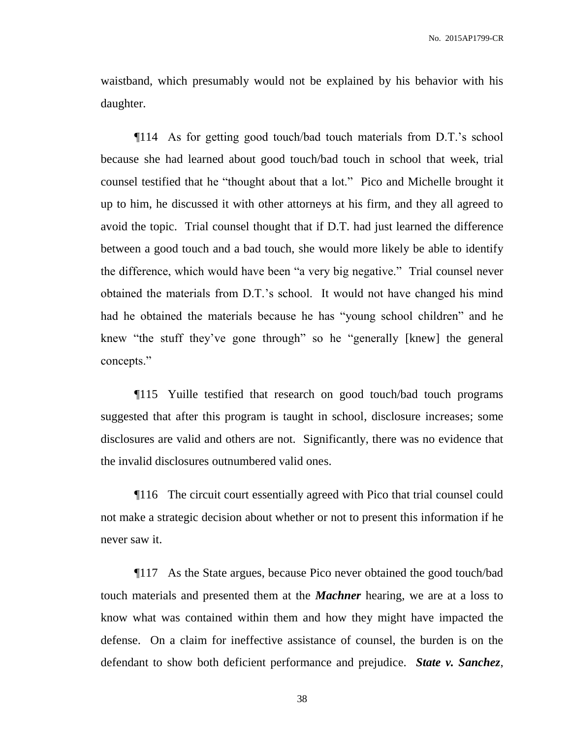waistband, which presumably would not be explained by his behavior with his daughter.

¶114 As for getting good touch/bad touch materials from D.T.'s school because she had learned about good touch/bad touch in school that week, trial counsel testified that he "thought about that a lot." Pico and Michelle brought it up to him, he discussed it with other attorneys at his firm, and they all agreed to avoid the topic. Trial counsel thought that if D.T. had just learned the difference between a good touch and a bad touch, she would more likely be able to identify the difference, which would have been "a very big negative." Trial counsel never obtained the materials from D.T.'s school. It would not have changed his mind had he obtained the materials because he has "young school children" and he knew "the stuff they've gone through" so he "generally [knew] the general concepts."

¶115 Yuille testified that research on good touch/bad touch programs suggested that after this program is taught in school, disclosure increases; some disclosures are valid and others are not. Significantly, there was no evidence that the invalid disclosures outnumbered valid ones.

¶116 The circuit court essentially agreed with Pico that trial counsel could not make a strategic decision about whether or not to present this information if he never saw it.

¶117 As the State argues, because Pico never obtained the good touch/bad touch materials and presented them at the *Machner* hearing, we are at a loss to know what was contained within them and how they might have impacted the defense. On a claim for ineffective assistance of counsel, the burden is on the defendant to show both deficient performance and prejudice. *State v. Sanchez*,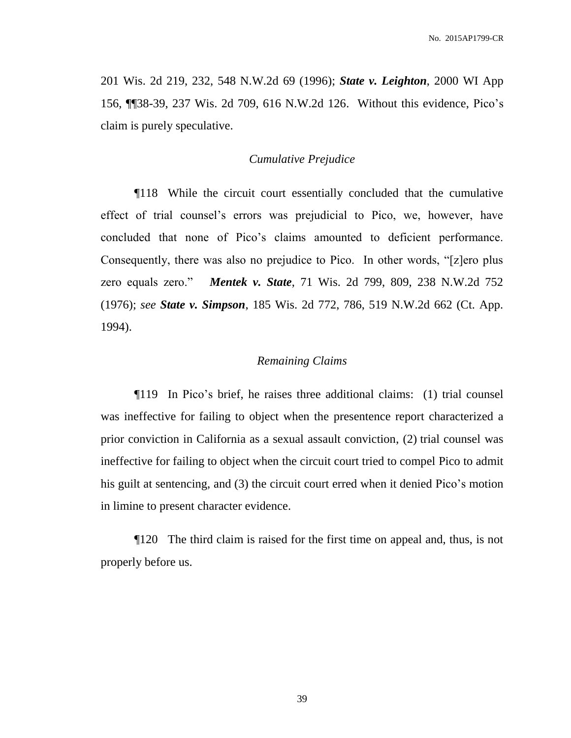201 Wis. 2d 219, 232, 548 N.W.2d 69 (1996); *State v. Leighton*, 2000 WI App 156, ¶¶38-39, 237 Wis. 2d 709, 616 N.W.2d 126. Without this evidence, Pico's claim is purely speculative.

#### *Cumulative Prejudice*

¶118 While the circuit court essentially concluded that the cumulative effect of trial counsel's errors was prejudicial to Pico, we, however, have concluded that none of Pico's claims amounted to deficient performance. Consequently, there was also no prejudice to Pico. In other words, "[z]ero plus zero equals zero." *Mentek v. State*, 71 Wis. 2d 799, 809, 238 N.W.2d 752 (1976); *see State v. Simpson*, 185 Wis. 2d 772, 786, 519 N.W.2d 662 (Ct. App. 1994).

#### *Remaining Claims*

¶119 In Pico's brief, he raises three additional claims: (1) trial counsel was ineffective for failing to object when the presentence report characterized a prior conviction in California as a sexual assault conviction, (2) trial counsel was ineffective for failing to object when the circuit court tried to compel Pico to admit his guilt at sentencing, and (3) the circuit court erred when it denied Pico's motion in limine to present character evidence.

¶120 The third claim is raised for the first time on appeal and, thus, is not properly before us.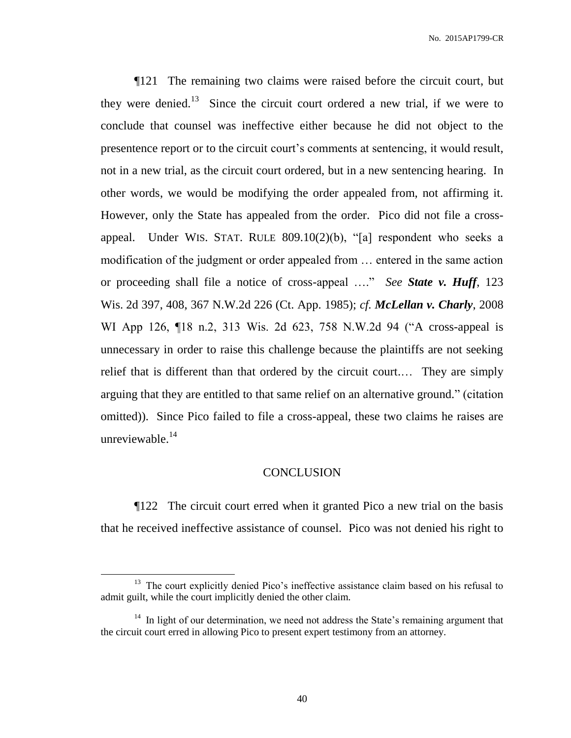¶121 The remaining two claims were raised before the circuit court, but they were denied.<sup>13</sup> Since the circuit court ordered a new trial, if we were to conclude that counsel was ineffective either because he did not object to the presentence report or to the circuit court's comments at sentencing, it would result, not in a new trial, as the circuit court ordered, but in a new sentencing hearing. In other words, we would be modifying the order appealed from, not affirming it. However, only the State has appealed from the order. Pico did not file a crossappeal. Under WIS. STAT. RULE 809.10(2)(b), "[a] respondent who seeks a modification of the judgment or order appealed from … entered in the same action or proceeding shall file a notice of cross-appeal …." *See State v. Huff*, 123 Wis. 2d 397, 408, 367 N.W.2d 226 (Ct. App. 1985); *cf. McLellan v. Charly*, 2008 WI App 126, ¶18 n.2, 313 Wis. 2d 623, 758 N.W.2d 94 ("A cross-appeal is unnecessary in order to raise this challenge because the plaintiffs are not seeking relief that is different than that ordered by the circuit court.… They are simply arguing that they are entitled to that same relief on an alternative ground." (citation omitted)). Since Pico failed to file a cross-appeal, these two claims he raises are unreviewable.<sup>14</sup>

#### **CONCLUSION**

¶122 The circuit court erred when it granted Pico a new trial on the basis that he received ineffective assistance of counsel. Pico was not denied his right to

<sup>&</sup>lt;sup>13</sup> The court explicitly denied Pico's ineffective assistance claim based on his refusal to admit guilt, while the court implicitly denied the other claim.

<sup>&</sup>lt;sup>14</sup> In light of our determination, we need not address the State's remaining argument that the circuit court erred in allowing Pico to present expert testimony from an attorney.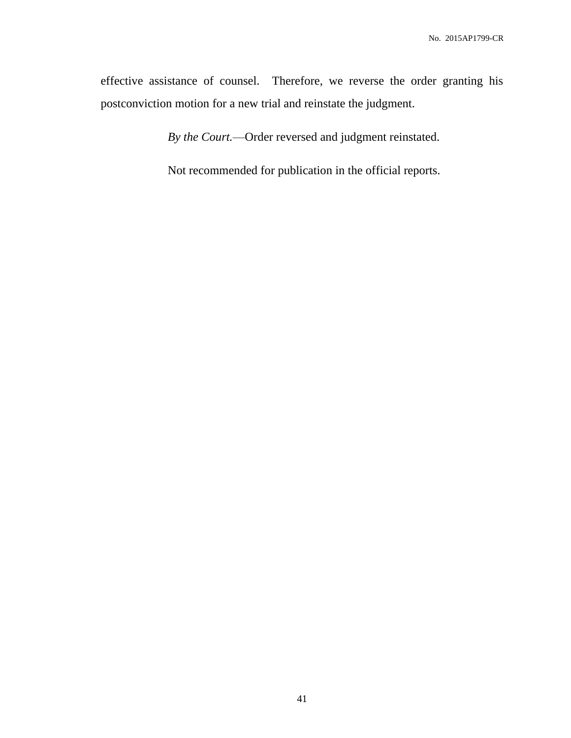effective assistance of counsel. Therefore, we reverse the order granting his postconviction motion for a new trial and reinstate the judgment.

*By the Court.*—Order reversed and judgment reinstated.

Not recommended for publication in the official reports.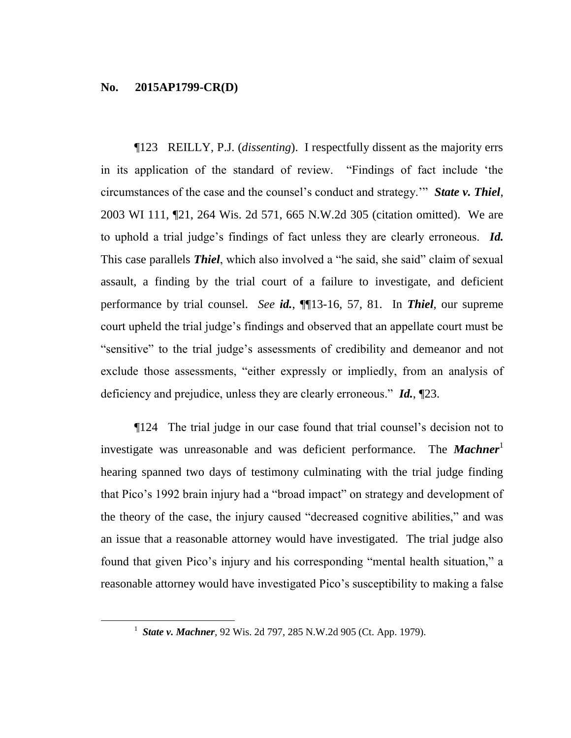$\overline{a}$ 

¶123 REILLY, P.J. (*dissenting*). I respectfully dissent as the majority errs in its application of the standard of review. "Findings of fact include 'the circumstances of the case and the counsel's conduct and strategy.'" *State v. Thiel*, 2003 WI 111, ¶21, 264 Wis. 2d 571, 665 N.W.2d 305 (citation omitted). We are to uphold a trial judge's findings of fact unless they are clearly erroneous. *Id.* This case parallels *Thiel*, which also involved a "he said, she said" claim of sexual assault, a finding by the trial court of a failure to investigate, and deficient performance by trial counsel. *See id.*, ¶¶13-16, 57, 81. In *Thiel*, our supreme court upheld the trial judge's findings and observed that an appellate court must be "sensitive" to the trial judge's assessments of credibility and demeanor and not exclude those assessments, "either expressly or impliedly, from an analysis of deficiency and prejudice, unless they are clearly erroneous." *Id.*, ¶23.

¶124 The trial judge in our case found that trial counsel's decision not to investigate was unreasonable and was deficient performance. The **Machner** hearing spanned two days of testimony culminating with the trial judge finding that Pico's 1992 brain injury had a "broad impact" on strategy and development of the theory of the case, the injury caused "decreased cognitive abilities," and was an issue that a reasonable attorney would have investigated. The trial judge also found that given Pico's injury and his corresponding "mental health situation," a reasonable attorney would have investigated Pico's susceptibility to making a false

<sup>&</sup>lt;sup>1</sup> State v. Machner, 92 Wis. 2d 797, 285 N.W.2d 905 (Ct. App. 1979).